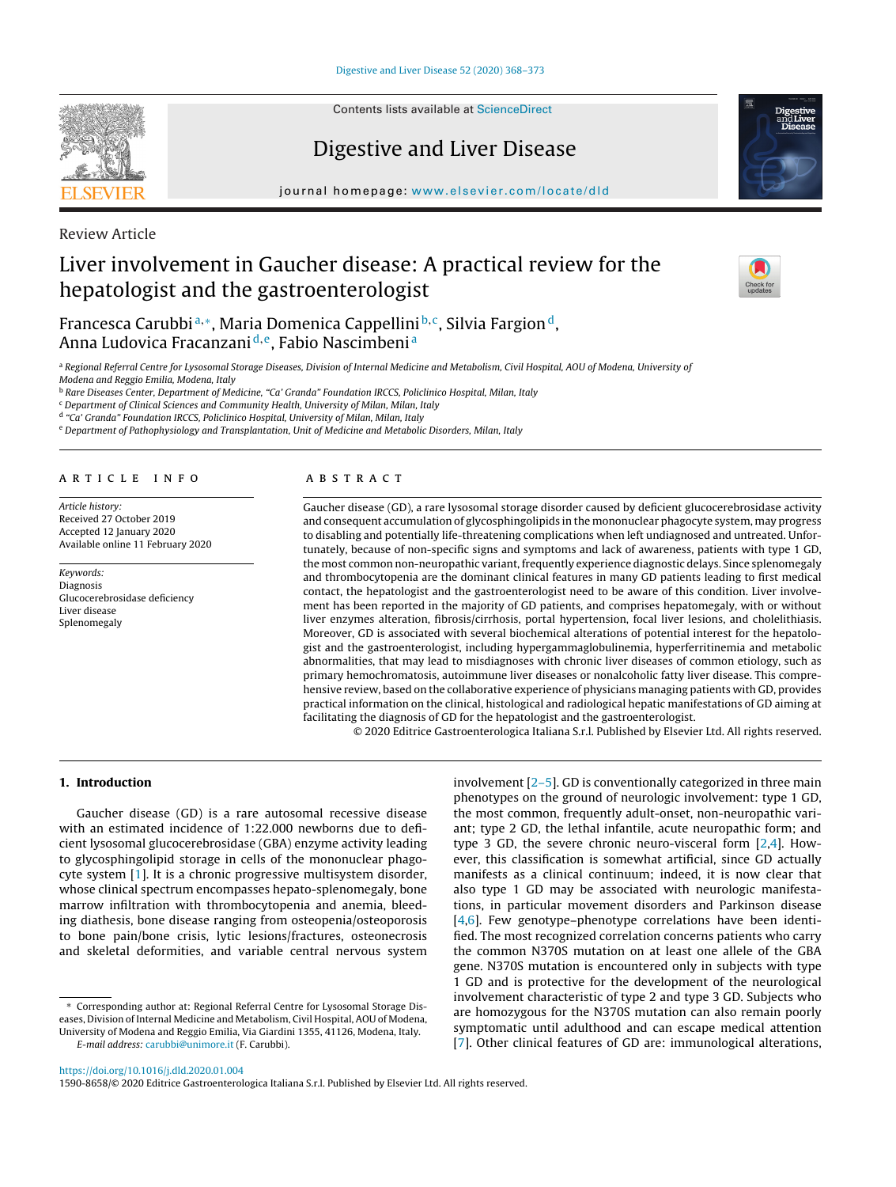Contents lists available at [ScienceDirect](http://www.sciencedirect.com/science/journal/15908658)

# Digestive and Liver Disease



journal homepage: [www.elsevier.com/locate/dld](http://www.elsevier.com/locate/dld)

Review Article

# Liver involvement in Gaucher disease: A practical review for the hepatologist and the gastroenterologist



Francesca Carubbi<sup>a,\*</sup>, Maria Domenica Cappellini <sup>b,c</sup>, Silvia Fargion<sup>d</sup>, Anna Ludovica Fracanzani<sup>d, e</sup>, Fabio Nascimbeni<sup>a</sup>

a Regional Referral Centre for Lysosomal Storage Diseases, Division of Internal Medicine and Metabolism, Civil Hospital, AOU of Modena, University of Modena and Reggio Emilia, Modena, Italy

<sup>b</sup> Rare Diseases Center, Department of Medicine, "Ca' Granda" Foundation IRCCS, Policlinico Hospital, Milan, Italy

 $c$  Department of Clinical Sciences and Community Health, University of Milan, Milan, Italy

<sup>d</sup> "Ca' Granda" Foundation IRCCS, Policlinico Hospital, University of Milan, Milan, Italy

<sup>e</sup> Department of Pathophysiology and Transplantation, Unit of Medicine and Metabolic Disorders, Milan, Italy

#### a r t i c l e i n f o

Article history: Received 27 October 2019 Accepted 12 January 2020 Available online 11 February 2020

Keywords: Diagnosis Glucocerebrosidase deficiency Liver disease Splenomegaly

#### a b s t r a c t

Gaucher disease (GD), a rare lysosomal storage disorder caused by deficient glucocerebrosidase activity and consequent accumulation of glycosphingolipids in the mononuclear phagocyte system, may progress to disabling and potentially life-threatening complications when left undiagnosed and untreated. Unfortunately, because of non-specific signs and symptoms and lack of awareness, patients with type 1 GD, the most common non-neuropathic variant, frequently experience diagnostic delays. Since splenomegaly and thrombocytopenia are the dominant clinical features in many GD patients leading to first medical contact, the hepatologist and the gastroenterologist need to be aware of this condition. Liver involvement has been reported in the majority of GD patients, and comprises hepatomegaly, with or without liver enzymes alteration, fibrosis/cirrhosis, portal hypertension, focal liver lesions, and cholelithiasis. Moreover, GD is associated with several biochemical alterations of potential interest for the hepatologist and the gastroenterologist, including hypergammaglobulinemia, hyperferritinemia and metabolic abnormalities, that may lead to misdiagnoses with chronic liver diseases of common etiology, such as primary hemochromatosis, autoimmune liver diseases or nonalcoholic fatty liver disease. This comprehensive review, based on the collaborative experience of physicians managing patients with GD, provides practical information on the clinical, histological and radiological hepatic manifestations of GD aiming at facilitating the diagnosis of GD for the hepatologist and the gastroenterologist.

© 2020 Editrice Gastroenterologica Italiana S.r.l. Published by Elsevier Ltd. All rights reserved.

### **1. Introduction**

Gaucher disease (GD) is a rare autosomal recessive disease with an estimated incidence of 1:22.000 newborns due to deficient lysosomal glucocerebrosidase (GBA) enzyme activity leading to glycosphingolipid storage in cells of the mononuclear phagocyte system [[1\].](#page-4-0) It is a chronic progressive multisystem disorder, whose clinical spectrum encompasses hepato-splenomegaly, bone marrow infiltration with thrombocytopenia and anemia, bleeding diathesis, bone disease ranging from osteopenia/osteoporosis to bone pain/bone crisis, lytic lesions/fractures, osteonecrosis and skeletal deformities, and variable central nervous system

∗ Corresponding author at: Regional Referral Centre for Lysosomal Storage Diseases, Division of Internal Medicine and Metabolism, Civil Hospital, AOU of Modena, University of Modena and Reggio Emilia, Via Giardini 1355, 41126, Modena, Italy.

E-mail address: [carubbi@unimore.it](mailto:carubbi@unimore.it) (F. Carubbi).

involvement  $[2-5]$ . GD is conventionally categorized in three main phenotypes on the ground of neurologic involvement: type 1 GD, the most common, frequently adult-onset, non-neuropathic variant; type 2 GD, the lethal infantile, acute neuropathic form; and type 3 GD, the severe chronic neuro-visceral form  $[2,4]$ . However, this classification is somewhat artificial, since GD actually manifests as a clinical continuum; indeed, it is now clear that also type 1 GD may be associated with neurologic manifestations, in particular movement disorders and Parkinson disease [\[4,6\].](#page-4-0) Few genotype-phenotype correlations have been identified. The most recognized correlation concerns patients who carry the common N370S mutation on at least one allele of the GBA gene. N370S mutation is encountered only in subjects with type 1 GD and is protective for the development of the neurological involvement characteristic of type 2 and type 3 GD. Subjects who are homozygous for the N370S mutation can also remain poorly symptomatic until adulthood and can escape medical attention [\[7\].](#page-4-0) Other clinical features of GD are: immunological alterations,

1590-8658/© 2020 Editrice Gastroenterologica Italiana S.r.l. Published by Elsevier Ltd. All rights reserved.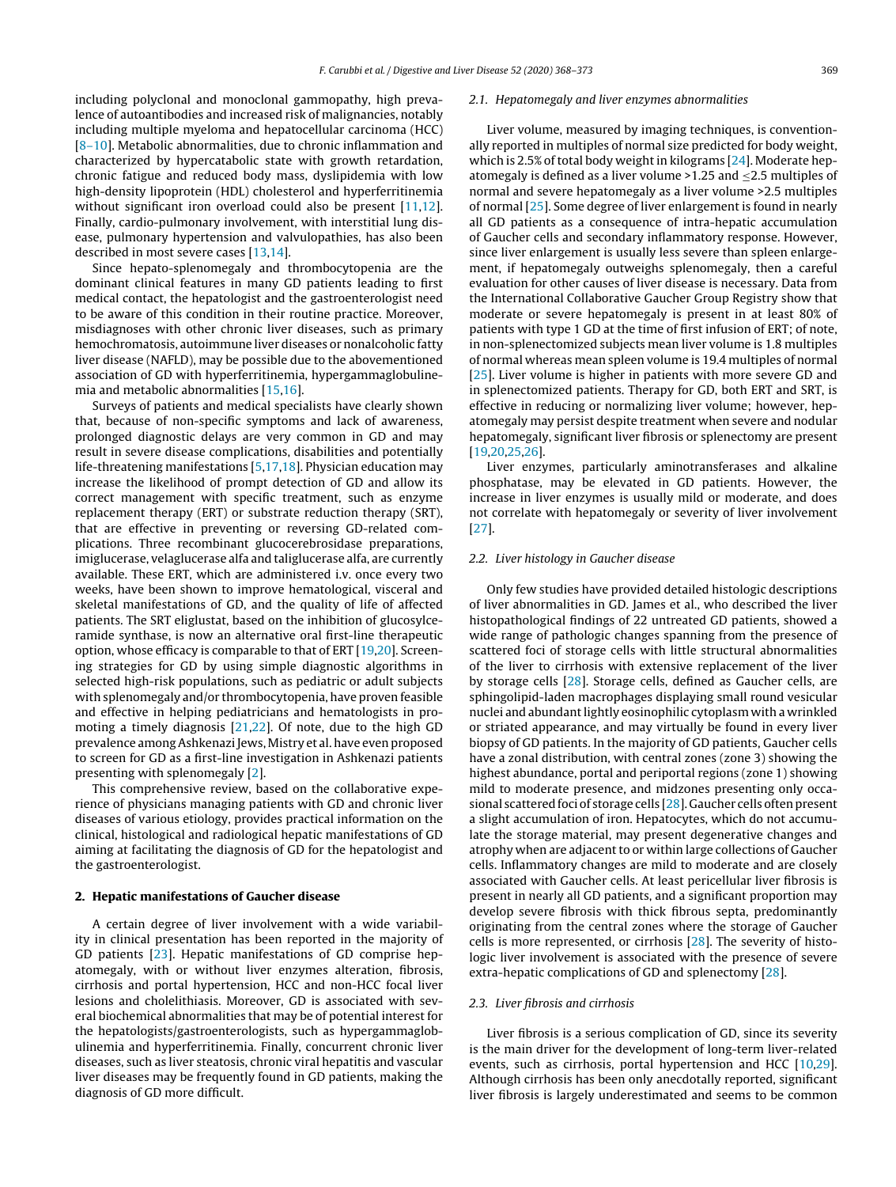including polyclonal and monoclonal gammopathy, high prevalence of autoantibodies and increased risk of malignancies, notably including multiple myeloma and hepatocellular carcinoma (HCC) [[8–10\].](#page-4-0) Metabolic abnormalities, due to chronic inflammation and characterized by hypercatabolic state with growth retardation, chronic fatigue and reduced body mass, dyslipidemia with low high-density lipoprotein (HDL) cholesterol and hyperferritinemia without significant iron overload could also be present [\[11,12\].](#page-4-0) Finally, cardio-pulmonary involvement, with interstitial lung disease, pulmonary hypertension and valvulopathies, has also been described in most severe cases [\[13,14\].](#page-4-0)

Since hepato-splenomegaly and thrombocytopenia are the dominant clinical features in many GD patients leading to first medical contact, the hepatologist and the gastroenterologist need to be aware of this condition in their routine practice. Moreover, misdiagnoses with other chronic liver diseases, such as primary hemochromatosis, autoimmune liver diseases or nonalcoholic fatty liver disease (NAFLD), may be possible due to the abovementioned association of GD with hyperferritinemia, hypergammaglobulinemia and metabolic abnormalities [\[15,16\].](#page-4-0)

Surveys of patients and medical specialists have clearly shown that, because of non-specific symptoms and lack of awareness, prolonged diagnostic delays are very common in GD and may result in severe disease complications, disabilities and potentially life-threatening manifestations [[5,17,18\].](#page-4-0) Physician education may increase the likelihood of prompt detection of GD and allow its correct management with specific treatment, such as enzyme replacement therapy (ERT) or substrate reduction therapy (SRT), that are effective in preventing or reversing GD-related complications. Three recombinant glucocerebrosidase preparations, imiglucerase, velaglucerase alfa and taliglucerase alfa, are currently available. These ERT, which are administered i.v. once every two weeks, have been shown to improve hematological, visceral and skeletal manifestations of GD, and the quality of life of affected patients. The SRT eliglustat, based on the inhibition of glucosylceramide synthase, is now an alternative oral first-line therapeutic option, whose efficacy is comparable to that of ERT [[19,20\].](#page-4-0) Screening strategies for GD by using simple diagnostic algorithms in selected high-risk populations, such as pediatric or adult subjects with splenomegaly and/or thrombocytopenia, have proven feasible and effective in helping pediatricians and hematologists in promoting a timely diagnosis [\[21,22\].](#page-4-0) Of note, due to the high GD prevalence amongAshkenazi Jews, Mistry et al. have even proposed to screen for GD as a first-line investigation in Ashkenazi patients presenting with splenomegaly [[2\].](#page-4-0)

This comprehensive review, based on the collaborative experience of physicians managing patients with GD and chronic liver diseases of various etiology, provides practical information on the clinical, histological and radiological hepatic manifestations of GD aiming at facilitating the diagnosis of GD for the hepatologist and the gastroenterologist.

#### **2. Hepatic manifestations of Gaucher disease**

A certain degree of liver involvement with a wide variability in clinical presentation has been reported in the majority of GD patients [[23\].](#page-4-0) Hepatic manifestations of GD comprise hepatomegaly, with or without liver enzymes alteration, fibrosis, cirrhosis and portal hypertension, HCC and non-HCC focal liver lesions and cholelithiasis. Moreover, GD is associated with several biochemical abnormalities that may be of potential interest for the hepatologists/gastroenterologists, such as hypergammaglobulinemia and hyperferritinemia. Finally, concurrent chronic liver diseases, such as liver steatosis, chronic viral hepatitis and vascular liver diseases may be frequently found in GD patients, making the diagnosis of GD more difficult.

#### 2.1. Hepatomegaly and liver enzymes abnormalities

Liver volume, measured by imaging techniques, is conventionally reported in multiples of normal size predicted for body weight, which is 2.5% of total body weight in kilograms  $[24]$ . Moderate hepatomegaly is defined as a liver volume >1.25 and  $\leq$ 2.5 multiples of normal and severe hepatomegaly as a liver volume >2.5 multiples of normal [[25\].](#page-4-0) Some degree of liver enlargement is found in nearly all GD patients as a consequence of intra-hepatic accumulation of Gaucher cells and secondary inflammatory response. However, since liver enlargement is usually less severe than spleen enlargement, if hepatomegaly outweighs splenomegaly, then a careful evaluation for other causes of liver disease is necessary. Data from the International Collaborative Gaucher Group Registry show that moderate or severe hepatomegaly is present in at least 80% of patients with type 1 GD at the time of first infusion of ERT; of note, in non-splenectomized subjects mean liver volume is 1.8 multiples of normal whereas mean spleen volume is 19.4 multiples of normal [\[25\].](#page-4-0) Liver volume is higher in patients with more severe GD and in splenectomized patients. Therapy for GD, both ERT and SRT, is effective in reducing or normalizing liver volume; however, hepatomegaly may persist despite treatment when severe and nodular hepatomegaly, significant liver fibrosis or splenectomy are present [\[19,20,25,26\].](#page-4-0)

Liver enzymes, particularly aminotransferases and alkaline phosphatase, may be elevated in GD patients. However, the increase in liver enzymes is usually mild or moderate, and does not correlate with hepatomegaly or severity of liver involvement [\[27\].](#page-5-0)

### 2.2. Liver histology in Gaucher disease

Only few studies have provided detailed histologic descriptions of liver abnormalities in GD. James et al., who described the liver histopathological findings of 22 untreated GD patients, showed a wide range of pathologic changes spanning from the presence of scattered foci of storage cells with little structural abnormalities of the liver to cirrhosis with extensive replacement of the liver by storage cells [\[28\].](#page-5-0) Storage cells, defined as Gaucher cells, are sphingolipid-laden macrophages displaying small round vesicular nuclei and abundant lightly eosinophilic cytoplasm with a wrinkled or striated appearance, and may virtually be found in every liver biopsy of GD patients. In the majority of GD patients, Gaucher cells have a zonal distribution, with central zones (zone 3) showing the highest abundance, portal and periportal regions (zone 1) showing mild to moderate presence, and midzones presenting only occasional scattered foci of storage cells  $[28]$ . Gaucher cells often present a slight accumulation of iron. Hepatocytes, which do not accumulate the storage material, may present degenerative changes and atrophy when are adjacent to or within large collections of Gaucher cells. Inflammatory changes are mild to moderate and are closely associated with Gaucher cells. At least pericellular liver fibrosis is present in nearly all GD patients, and a significant proportion may develop severe fibrosis with thick fibrous septa, predominantly originating from the central zones where the storage of Gaucher cells is more represented, or cirrhosis [[28\].](#page-5-0) The severity of histologic liver involvement is associated with the presence of severe extra-hepatic complications of GD and splenectomy [[28\].](#page-5-0)

#### 2.3. Liver fibrosis and cirrhosis

Liver fibrosis is a serious complication of GD, since its severity is the main driver for the development of long-term liver-related events, such as cirrhosis, portal hypertension and HCC [[10,](#page-4-0)[29\].](#page-5-0) Although cirrhosis has been only anecdotally reported, significant liver fibrosis is largely underestimated and seems to be common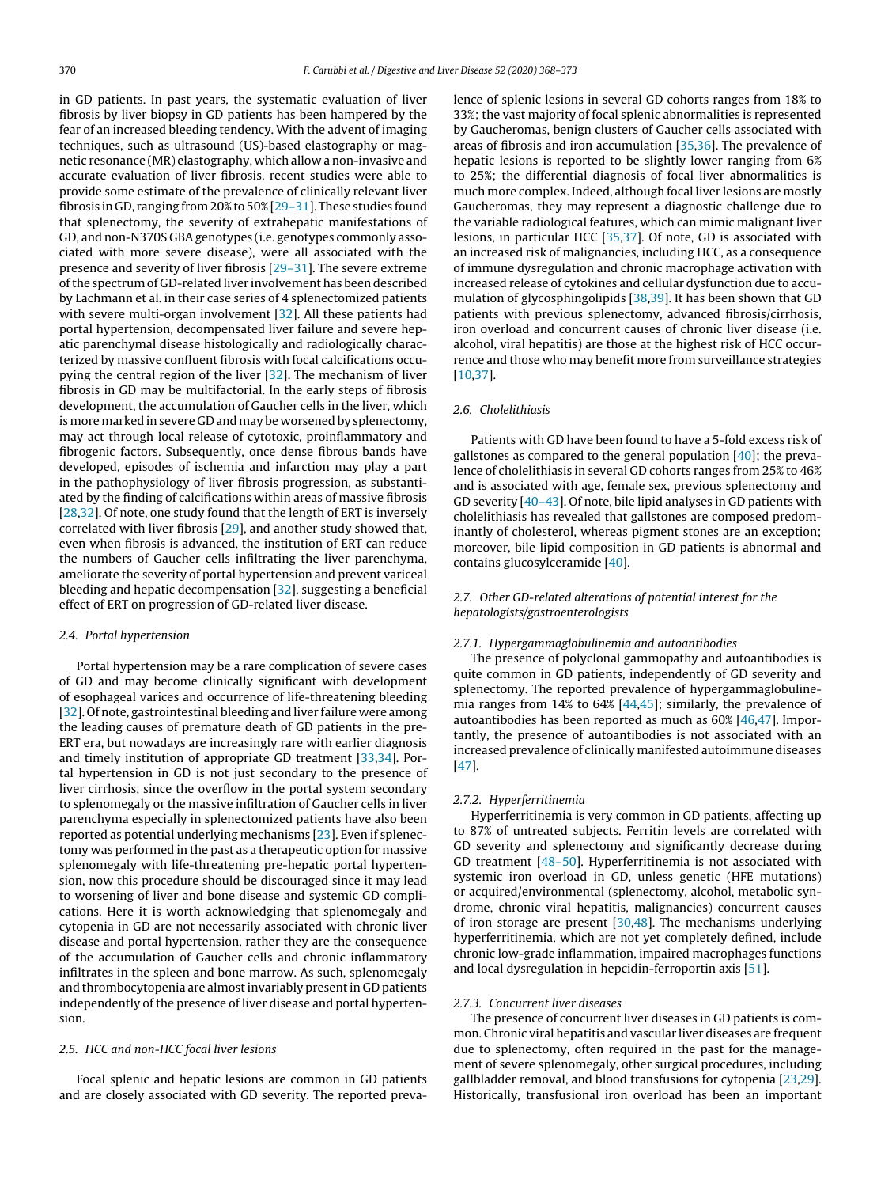in GD patients. In past years, the systematic evaluation of liver fibrosis by liver biopsy in GD patients has been hampered by the fear of an increased bleeding tendency. With the advent of imaging techniques, such as ultrasound (US)-based elastography or magnetic resonance (MR) elastography, which allow a non-invasive and accurate evaluation of liver fibrosis, recent studies were able to provide some estimate of the prevalence of clinically relevant liver fibrosis in GD, ranging from20%to 50%[\[29–31\].](#page-5-0) These studies found that splenectomy, the severity of extrahepatic manifestations of GD, and non-N370S GBA genotypes (i.e. genotypes commonly associated with more severe disease), were all associated with the presence and severity of liver fibrosis [\[29–31\].](#page-5-0) The severe extreme ofthe spectrum of GD-related liver involvement has been described by Lachmann et al. in their case series of 4 splenectomized patients with severe multi-organ involvement [\[32\].](#page-5-0) All these patients had portal hypertension, decompensated liver failure and severe hepatic parenchymal disease histologically and radiologically characterized by massive confluent fibrosis with focal calcifications occupying the central region of the liver [[32\].](#page-5-0) The mechanism of liver fibrosis in GD may be multifactorial. In the early steps of fibrosis development, the accumulation of Gaucher cells in the liver, which is more marked in severe GD and may be worsened by splenectomy, may act through local release of cytotoxic, proinflammatory and fibrogenic factors. Subsequently, once dense fibrous bands have developed, episodes of ischemia and infarction may play a part in the pathophysiology of liver fibrosis progression, as substantiated by the finding of calcifications within areas of massive fibrosis [[28,32\].](#page-5-0) Of note, one study found that the length of ERT is inversely correlated with liver fibrosis [\[29\],](#page-5-0) and another study showed that, even when fibrosis is advanced, the institution of ERT can reduce the numbers of Gaucher cells infiltrating the liver parenchyma, ameliorate the severity of portal hypertension and prevent variceal bleeding and hepatic decompensation [\[32\],](#page-5-0) suggesting a beneficial effect of ERT on progression of GD-related liver disease.

### 2.4. Portal hypertension

Portal hypertension may be a rare complication of severe cases of GD and may become clinically significant with development of esophageal varices and occurrence of life-threatening bleeding [[32\].](#page-5-0) Of note, gastrointestinal bleeding and liver failure were among the leading causes of premature death of GD patients in the pre-ERT era, but nowadays are increasingly rare with earlier diagnosis and timely institution of appropriate GD treatment [\[33,34\].](#page-5-0) Portal hypertension in GD is not just secondary to the presence of liver cirrhosis, since the overflow in the portal system secondary to splenomegaly or the massive infiltration of Gaucher cells in liver parenchyma especially in splenectomized patients have also been reported as potential underlying mechanisms [\[23\].](#page-4-0) Even if splenectomy was performed in the past as a therapeutic option for massive splenomegaly with life-threatening pre-hepatic portal hypertension, now this procedure should be discouraged since it may lead to worsening of liver and bone disease and systemic GD complications. Here it is worth acknowledging that splenomegaly and cytopenia in GD are not necessarily associated with chronic liver disease and portal hypertension, rather they are the consequence of the accumulation of Gaucher cells and chronic inflammatory infiltrates in the spleen and bone marrow. As such, splenomegaly and thrombocytopenia are almost invariably present in GD patients independently of the presence of liver disease and portal hypertension.

### 2.5. HCC and non-HCC focal liver lesions

Focal splenic and hepatic lesions are common in GD patients and are closely associated with GD severity. The reported prevalence of splenic lesions in several GD cohorts ranges from 18% to 33%; the vast majority of focal splenic abnormalities is represented by Gaucheromas, benign clusters of Gaucher cells associated with areas of fibrosis and iron accumulation [\[35,36\].](#page-5-0) The prevalence of hepatic lesions is reported to be slightly lower ranging from 6% to 25%; the differential diagnosis of focal liver abnormalities is much more complex. Indeed, although focal liver lesions are mostly Gaucheromas, they may represent a diagnostic challenge due to the variable radiological features, which can mimic malignant liver lesions, in particular HCC [[35,37\].](#page-5-0) Of note, GD is associated with an increased risk of malignancies, including HCC, as a consequence of immune dysregulation and chronic macrophage activation with increased release of cytokines and cellular dysfunction due to accumulation of glycosphingolipids [\[38,39\].](#page-5-0) It has been shown that GD patients with previous splenectomy, advanced fibrosis/cirrhosis, iron overload and concurrent causes of chronic liver disease (i.e. alcohol, viral hepatitis) are those at the highest risk of HCC occurrence and those who may benefit more from surveillance strategies [\[10,](#page-4-0)[37\].](#page-5-0)

#### 2.6. Cholelithiasis

Patients with GD have been found to have a 5-fold excess risk of gallstones as compared to the general population  $[40]$ ; the prevalence of cholelithiasis in several GD cohorts ranges from 25% to 46% and is associated with age, female sex, previous splenectomy and GD severity [[40–43\].](#page-5-0) Of note, bile lipid analyses in GD patients with cholelithiasis has revealed that gallstones are composed predominantly of cholesterol, whereas pigment stones are an exception; moreover, bile lipid composition in GD patients is abnormal and contains glucosylceramide [[40\].](#page-5-0)

## 2.7. Other GD-related alterations of potential interest for the hepatologists/gastroenterologists

#### 2.7.1. Hypergammaglobulinemia and autoantibodies

The presence of polyclonal gammopathy and autoantibodies is quite common in GD patients, independently of GD severity and splenectomy. The reported prevalence of hypergammaglobulinemia ranges from 14% to 64% [\[44,45\];](#page-5-0) similarly, the prevalence of autoantibodies has been reported as much as 60% [[46,47\].](#page-5-0) Importantly, the presence of autoantibodies is not associated with an increased prevalence of clinically manifested autoimmune diseases [\[47\].](#page-5-0)

#### 2.7.2. Hyperferritinemia

Hyperferritinemia is very common in GD patients, affecting up to 87% of untreated subjects. Ferritin levels are correlated with GD severity and splenectomy and significantly decrease during GD treatment [\[48–50\].](#page-5-0) Hyperferritinemia is not associated with systemic iron overload in GD, unless genetic (HFE mutations) or acquired/environmental (splenectomy, alcohol, metabolic syndrome, chronic viral hepatitis, malignancies) concurrent causes of iron storage are present  $[30,48]$ . The mechanisms underlying hyperferritinemia, which are not yet completely defined, include chronic low-grade inflammation, impaired macrophages functions and local dysregulation in hepcidin-ferroportin axis [[51\].](#page-5-0)

### 2.7.3. Concurrent liver diseases

The presence of concurrent liver diseases in GD patients is common. Chronic viral hepatitis and vascular liver diseases are frequent due to splenectomy, often required in the past for the management of severe splenomegaly, other surgical procedures, including gallbladder removal, and blood transfusions for cytopenia [[23,](#page-4-0)[29\].](#page-5-0) Historically, transfusional iron overload has been an important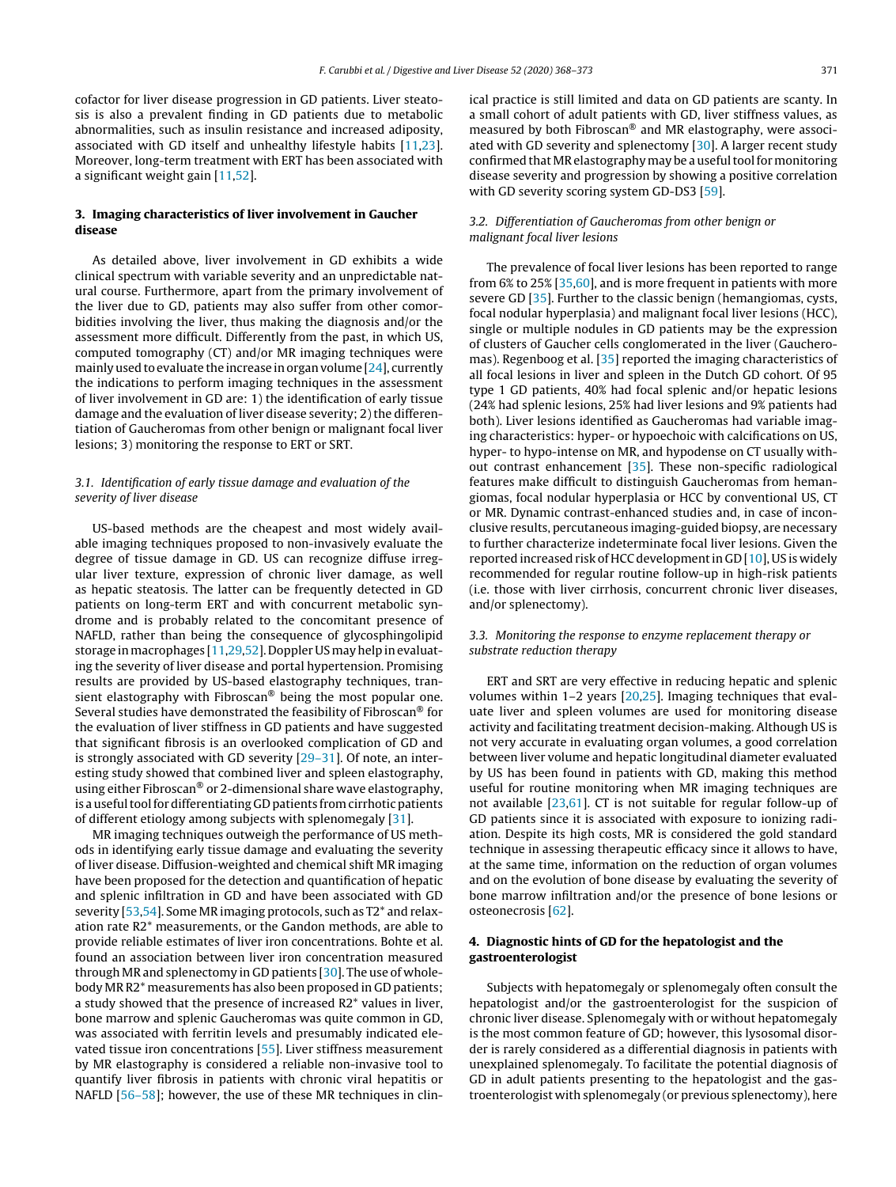cofactor for liver disease progression in GD patients. Liver steatosis is also a prevalent finding in GD patients due to metabolic abnormalities, such as insulin resistance and increased adiposity, associated with GD itself and unhealthy lifestyle habits [\[11,23\].](#page-4-0) Moreover, long-term treatment with ERT has been associated with a significant weight gain [[11,](#page-4-0)[52\].](#page-5-0)

## **3. Imaging characteristics of liver involvement in Gaucher disease**

As detailed above, liver involvement in GD exhibits a wide clinical spectrum with variable severity and an unpredictable natural course. Furthermore, apart from the primary involvement of the liver due to GD, patients may also suffer from other comorbidities involving the liver, thus making the diagnosis and/or the assessment more difficult. Differently from the past, in which US, computed tomography (CT) and/or MR imaging techniques were mainly used to evaluate the increase in organ volume  $[24]$ , currently the indications to perform imaging techniques in the assessment of liver involvement in GD are: 1) the identification of early tissue damage and the evaluation of liver disease severity; 2) the differentiation of Gaucheromas from other benign or malignant focal liver lesions; 3) monitoring the response to ERT or SRT.

## 3.1. Identification of early tissue damage and evaluation of the severity of liver disease

US-based methods are the cheapest and most widely available imaging techniques proposed to non-invasively evaluate the degree of tissue damage in GD. US can recognize diffuse irregular liver texture, expression of chronic liver damage, as well as hepatic steatosis. The latter can be frequently detected in GD patients on long-term ERT and with concurrent metabolic syndrome and is probably related to the concomitant presence of NAFLD, rather than being the consequence of glycosphingolipid storage in macrophages [[11,](#page-4-0)[29,52\].](#page-5-0) Doppler US may help in evaluating the severity of liver disease and portal hypertension. Promising results are provided by US-based elastography techniques, transient elastography with Fibroscan® being the most popular one. Several studies have demonstrated the feasibility of Fibroscan® for the evaluation of liver stiffness in GD patients and have suggested that significant fibrosis is an overlooked complication of GD and is strongly associated with GD severity [[29–31\].](#page-5-0) Of note, an interesting study showed that combined liver and spleen elastography, using either Fibroscan® or 2-dimensional share wave elastography, is a useful tool for differentiating GD patients from cirrhotic patients of different etiology among subjects with splenomegaly [[31\].](#page-5-0)

MR imaging techniques outweigh the performance of US methods in identifying early tissue damage and evaluating the severity of liver disease. Diffusion-weighted and chemical shift MR imaging have been proposed for the detection and quantification of hepatic and splenic infiltration in GD and have been associated with GD severity [[53,54\].](#page-5-0) Some MR imaging protocols, such as T2\* and relaxation rate R2\* measurements, or the Gandon methods, are able to provide reliable estimates of liver iron concentrations. Bohte et al. found an association between liver iron concentration measured through MR and splenectomy in GD patients [[30\].](#page-5-0) The use of wholebody MR R2\* measurements has also been proposed in GD patients; a study showed that the presence of increased R2\* values in liver, bone marrow and splenic Gaucheromas was quite common in GD, was associated with ferritin levels and presumably indicated elevated tissue iron concentrations [\[55\].](#page-5-0) Liver stiffness measurement by MR elastography is considered a reliable non-invasive tool to quantify liver fibrosis in patients with chronic viral hepatitis or NAFLD [\[56–58\];](#page-5-0) however, the use of these MR techniques in clinical practice is still limited and data on GD patients are scanty. In a small cohort of adult patients with GD, liver stiffness values, as measured by both Fibroscan® and MR elastography, were associated with GD severity and splenectomy [[30\].](#page-5-0) A larger recent study confirmed that MR elastography may be a useful tool for monitoring disease severity and progression by showing a positive correlation with GD severity scoring system GD-DS3 [[59\].](#page-5-0)

## 3.2. Differentiation of Gaucheromas from other benign or malignant focal liver lesions

The prevalence of focal liver lesions has been reported to range from 6% to 25% [\[35,60\],](#page-5-0) and is more frequent in patients with more severe GD [[35\].](#page-5-0) Further to the classic benign (hemangiomas, cysts, focal nodular hyperplasia) and malignant focal liver lesions (HCC), single or multiple nodules in GD patients may be the expression of clusters of Gaucher cells conglomerated in the liver (Gaucheromas). Regenboog et al. [\[35\]](#page-5-0) reported the imaging characteristics of all focal lesions in liver and spleen in the Dutch GD cohort. Of 95 type 1 GD patients, 40% had focal splenic and/or hepatic lesions (24% had splenic lesions, 25% had liver lesions and 9% patients had both). Liver lesions identified as Gaucheromas had variable imaging characteristics: hyper- or hypoechoic with calcifications on US, hyper- to hypo-intense on MR, and hypodense on CT usually without contrast enhancement [[35\].](#page-5-0) These non-specific radiological features make difficult to distinguish Gaucheromas from hemangiomas, focal nodular hyperplasia or HCC by conventional US, CT or MR. Dynamic contrast-enhanced studies and, in case of inconclusive results, percutaneous imaging-guided biopsy, are necessary to further characterize indeterminate focal liver lesions. Given the reported increased risk of HCC developmentin GD [[10\],](#page-4-0) US is widely recommended for regular routine follow-up in high-risk patients (i.e. those with liver cirrhosis, concurrent chronic liver diseases, and/or splenectomy).

## 3.3. Monitoring the response to enzyme replacement therapy or substrate reduction therapy

ERT and SRT are very effective in reducing hepatic and splenic volumes within 1–2 years [[20,25\].](#page-4-0) Imaging techniques that evaluate liver and spleen volumes are used for monitoring disease activity and facilitating treatment decision-making. Although US is not very accurate in evaluating organ volumes, a good correlation between liver volume and hepatic longitudinal diameter evaluated by US has been found in patients with GD, making this method useful for routine monitoring when MR imaging techniques are not available [[23,](#page-4-0)[61\].](#page-5-0) CT is not suitable for regular follow-up of GD patients since it is associated with exposure to ionizing radiation. Despite its high costs, MR is considered the gold standard technique in assessing therapeutic efficacy since it allows to have, at the same time, information on the reduction of organ volumes and on the evolution of bone disease by evaluating the severity of bone marrow infiltration and/or the presence of bone lesions or osteonecrosis [\[62\].](#page-5-0)

## **4. Diagnostic hints of GD for the hepatologist and the gastroenterologist**

Subjects with hepatomegaly or splenomegaly often consult the hepatologist and/or the gastroenterologist for the suspicion of chronic liver disease. Splenomegaly with or without hepatomegaly is the most common feature of GD; however, this lysosomal disorder is rarely considered as a differential diagnosis in patients with unexplained splenomegaly. To facilitate the potential diagnosis of GD in adult patients presenting to the hepatologist and the gastroenterologist with splenomegaly (or previous splenectomy), here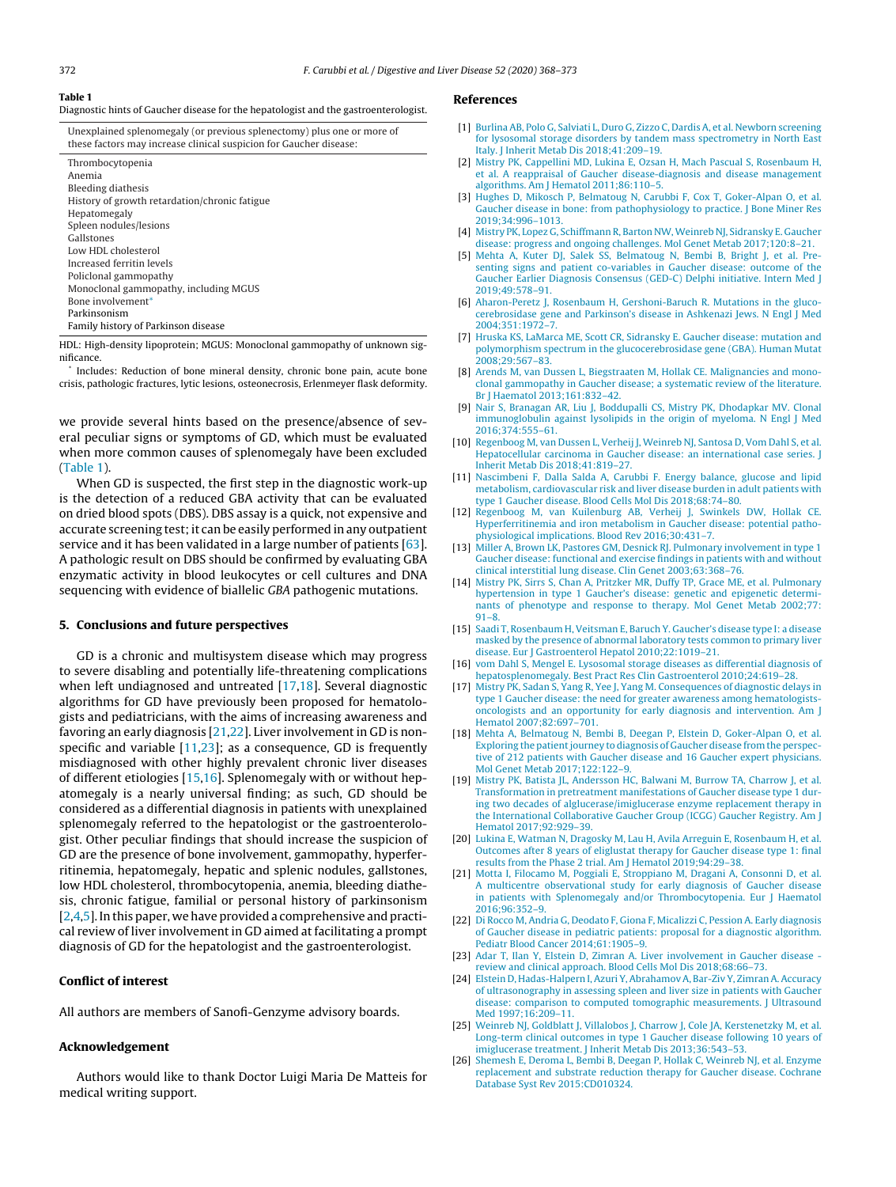#### <span id="page-4-0"></span>**Table 1**

#### Diagnostic hints of Gaucher disease for the hepatologist and the gastroenterologist.

Unexplained splenomegaly (or previous splenectomy) plus one or more of these factors may increase clinical suspicion for Gaucher disease:

| Thrombocytopenia                              |
|-----------------------------------------------|
| Anemia                                        |
| Bleeding diathesis                            |
| History of growth retardation/chronic fatigue |
| Hepatomegaly                                  |
| Spleen nodules/lesions                        |
| Gallstones                                    |
| Low HDL cholesterol                           |
| Increased ferritin levels                     |
| Policlonal gammopathy                         |
| Monoclonal gammopathy, including MGUS         |
| Bone involvement <sup>*</sup>                 |
| Parkinsonism                                  |
| Family history of Parkinson disease           |
|                                               |

HDL: High-density lipoprotein; MGUS: Monoclonal gammopathy of unknown significance.

Includes: Reduction of bone mineral density, chronic bone pain, acute bone crisis, pathologic fractures, lytic lesions, osteonecrosis, Erlenmeyer flask deformity.

we provide several hints based on the presence/absence of several peculiar signs or symptoms of GD, which must be evaluated when more common causes of splenomegaly have been excluded (Table 1).

When GD is suspected, the first step in the diagnostic work-up is the detection of a reduced GBA activity that can be evaluated on dried blood spots (DBS). DBS assay is a quick, not expensive and accurate screening test; it can be easily performed in any outpatient service and it has been validated in a large number of patients [[63\].](#page-5-0) A pathologic result on DBS should be confirmed by evaluating GBA enzymatic activity in blood leukocytes or cell cultures and DNA sequencing with evidence of biallelic GBA pathogenic mutations.

#### **5. Conclusions and future perspectives**

GD is a chronic and multisystem disease which may progress to severe disabling and potentially life-threatening complications when left undiagnosed and untreated [17,18]. Several diagnostic algorithms for GD have previously been proposed for hematologists and pediatricians, with the aims of increasing awareness and favoring an early diagnosis [21,22]. Liver involvement in GD is nonspecific and variable  $[11,23]$ ; as a consequence, GD is frequently misdiagnosed with other highly prevalent chronic liver diseases of different etiologies [15,16]. Splenomegaly with or without hepatomegaly is a nearly universal finding; as such, GD should be considered as a differential diagnosis in patients with unexplained splenomegaly referred to the hepatologist or the gastroenterologist. Other peculiar findings that should increase the suspicion of GD are the presence of bone involvement, gammopathy, hyperferritinemia, hepatomegaly, hepatic and splenic nodules, gallstones, low HDL cholesterol, thrombocytopenia, anemia, bleeding diathesis, chronic fatigue, familial or personal history of parkinsonism  $[2,4,5]$ . In this paper, we have provided a comprehensive and practical review of liver involvement in GD aimed at facilitating a prompt diagnosis of GD for the hepatologist and the gastroenterologist.

#### **Conflict of interest**

All authors are members of Sanofi-Genzyme advisory boards.

#### **Acknowledgement**

Authors would like to thank Doctor Luigi Maria De Matteis for medical writing support.

#### **References**

- [1] [Burlina](http://refhub.elsevier.com/S1590-8658(20)30030-X/sbref0005) [AB,](http://refhub.elsevier.com/S1590-8658(20)30030-X/sbref0005) [Polo](http://refhub.elsevier.com/S1590-8658(20)30030-X/sbref0005) [G,](http://refhub.elsevier.com/S1590-8658(20)30030-X/sbref0005) [Salviati](http://refhub.elsevier.com/S1590-8658(20)30030-X/sbref0005) [L,](http://refhub.elsevier.com/S1590-8658(20)30030-X/sbref0005) [Duro](http://refhub.elsevier.com/S1590-8658(20)30030-X/sbref0005) [G,](http://refhub.elsevier.com/S1590-8658(20)30030-X/sbref0005) [Zizzo](http://refhub.elsevier.com/S1590-8658(20)30030-X/sbref0005) [C,](http://refhub.elsevier.com/S1590-8658(20)30030-X/sbref0005) [Dardis](http://refhub.elsevier.com/S1590-8658(20)30030-X/sbref0005) [A,](http://refhub.elsevier.com/S1590-8658(20)30030-X/sbref0005) [et](http://refhub.elsevier.com/S1590-8658(20)30030-X/sbref0005) [al.](http://refhub.elsevier.com/S1590-8658(20)30030-X/sbref0005) [Newborn](http://refhub.elsevier.com/S1590-8658(20)30030-X/sbref0005) [screening](http://refhub.elsevier.com/S1590-8658(20)30030-X/sbref0005) [for](http://refhub.elsevier.com/S1590-8658(20)30030-X/sbref0005) [lysosomal](http://refhub.elsevier.com/S1590-8658(20)30030-X/sbref0005) [storage](http://refhub.elsevier.com/S1590-8658(20)30030-X/sbref0005) [disorders](http://refhub.elsevier.com/S1590-8658(20)30030-X/sbref0005) [by](http://refhub.elsevier.com/S1590-8658(20)30030-X/sbref0005) [tandem](http://refhub.elsevier.com/S1590-8658(20)30030-X/sbref0005) [mass](http://refhub.elsevier.com/S1590-8658(20)30030-X/sbref0005) [spectrometry](http://refhub.elsevier.com/S1590-8658(20)30030-X/sbref0005) [in](http://refhub.elsevier.com/S1590-8658(20)30030-X/sbref0005) [North](http://refhub.elsevier.com/S1590-8658(20)30030-X/sbref0005) [East](http://refhub.elsevier.com/S1590-8658(20)30030-X/sbref0005) [Italy.](http://refhub.elsevier.com/S1590-8658(20)30030-X/sbref0005) [J](http://refhub.elsevier.com/S1590-8658(20)30030-X/sbref0005) [Inherit](http://refhub.elsevier.com/S1590-8658(20)30030-X/sbref0005) [Metab](http://refhub.elsevier.com/S1590-8658(20)30030-X/sbref0005) [Dis](http://refhub.elsevier.com/S1590-8658(20)30030-X/sbref0005) [2018;41:209–19.](http://refhub.elsevier.com/S1590-8658(20)30030-X/sbref0005)
- [2] [Mistry](http://refhub.elsevier.com/S1590-8658(20)30030-X/sbref0010) [PK,](http://refhub.elsevier.com/S1590-8658(20)30030-X/sbref0010) [Cappellini](http://refhub.elsevier.com/S1590-8658(20)30030-X/sbref0010) [MD,](http://refhub.elsevier.com/S1590-8658(20)30030-X/sbref0010) [Lukina](http://refhub.elsevier.com/S1590-8658(20)30030-X/sbref0010) [E,](http://refhub.elsevier.com/S1590-8658(20)30030-X/sbref0010) [Ozsan](http://refhub.elsevier.com/S1590-8658(20)30030-X/sbref0010) [H,](http://refhub.elsevier.com/S1590-8658(20)30030-X/sbref0010) [Mach](http://refhub.elsevier.com/S1590-8658(20)30030-X/sbref0010) [Pascual](http://refhub.elsevier.com/S1590-8658(20)30030-X/sbref0010) [S,](http://refhub.elsevier.com/S1590-8658(20)30030-X/sbref0010) [Rosenbaum](http://refhub.elsevier.com/S1590-8658(20)30030-X/sbref0010) [H,](http://refhub.elsevier.com/S1590-8658(20)30030-X/sbref0010) [et](http://refhub.elsevier.com/S1590-8658(20)30030-X/sbref0010) [al.](http://refhub.elsevier.com/S1590-8658(20)30030-X/sbref0010) [A](http://refhub.elsevier.com/S1590-8658(20)30030-X/sbref0010) [reappraisal](http://refhub.elsevier.com/S1590-8658(20)30030-X/sbref0010) [of](http://refhub.elsevier.com/S1590-8658(20)30030-X/sbref0010) [Gaucher](http://refhub.elsevier.com/S1590-8658(20)30030-X/sbref0010) [disease-diagnosis](http://refhub.elsevier.com/S1590-8658(20)30030-X/sbref0010) [and](http://refhub.elsevier.com/S1590-8658(20)30030-X/sbref0010) [disease](http://refhub.elsevier.com/S1590-8658(20)30030-X/sbref0010) [management](http://refhub.elsevier.com/S1590-8658(20)30030-X/sbref0010) [algorithms.](http://refhub.elsevier.com/S1590-8658(20)30030-X/sbref0010) [Am](http://refhub.elsevier.com/S1590-8658(20)30030-X/sbref0010) [J](http://refhub.elsevier.com/S1590-8658(20)30030-X/sbref0010) [Hematol](http://refhub.elsevier.com/S1590-8658(20)30030-X/sbref0010) [2011;86:110–5.](http://refhub.elsevier.com/S1590-8658(20)30030-X/sbref0010)
- [3] [Hughes](http://refhub.elsevier.com/S1590-8658(20)30030-X/sbref0015) [D,](http://refhub.elsevier.com/S1590-8658(20)30030-X/sbref0015) [Mikosch](http://refhub.elsevier.com/S1590-8658(20)30030-X/sbref0015) [P,](http://refhub.elsevier.com/S1590-8658(20)30030-X/sbref0015) [Belmatoug](http://refhub.elsevier.com/S1590-8658(20)30030-X/sbref0015) [N,](http://refhub.elsevier.com/S1590-8658(20)30030-X/sbref0015) [Carubbi](http://refhub.elsevier.com/S1590-8658(20)30030-X/sbref0015) [F,](http://refhub.elsevier.com/S1590-8658(20)30030-X/sbref0015) [Cox](http://refhub.elsevier.com/S1590-8658(20)30030-X/sbref0015) [T,](http://refhub.elsevier.com/S1590-8658(20)30030-X/sbref0015) [Goker-Alpan](http://refhub.elsevier.com/S1590-8658(20)30030-X/sbref0015) [O,](http://refhub.elsevier.com/S1590-8658(20)30030-X/sbref0015) [et](http://refhub.elsevier.com/S1590-8658(20)30030-X/sbref0015) [al.](http://refhub.elsevier.com/S1590-8658(20)30030-X/sbref0015) [Gaucher](http://refhub.elsevier.com/S1590-8658(20)30030-X/sbref0015) [disease](http://refhub.elsevier.com/S1590-8658(20)30030-X/sbref0015) [in](http://refhub.elsevier.com/S1590-8658(20)30030-X/sbref0015) [bone:](http://refhub.elsevier.com/S1590-8658(20)30030-X/sbref0015) [from](http://refhub.elsevier.com/S1590-8658(20)30030-X/sbref0015) [pathophysiology](http://refhub.elsevier.com/S1590-8658(20)30030-X/sbref0015) [to](http://refhub.elsevier.com/S1590-8658(20)30030-X/sbref0015) [practice.](http://refhub.elsevier.com/S1590-8658(20)30030-X/sbref0015) [J](http://refhub.elsevier.com/S1590-8658(20)30030-X/sbref0015) [Bone](http://refhub.elsevier.com/S1590-8658(20)30030-X/sbref0015) [Miner](http://refhub.elsevier.com/S1590-8658(20)30030-X/sbref0015) [Res](http://refhub.elsevier.com/S1590-8658(20)30030-X/sbref0015) [2019;34:996](http://refhub.elsevier.com/S1590-8658(20)30030-X/sbref0015)–[1013.](http://refhub.elsevier.com/S1590-8658(20)30030-X/sbref0015)
- [4] [Mistry](http://refhub.elsevier.com/S1590-8658(20)30030-X/sbref0020) [PK,](http://refhub.elsevier.com/S1590-8658(20)30030-X/sbref0020) [Lopez](http://refhub.elsevier.com/S1590-8658(20)30030-X/sbref0020) [G,](http://refhub.elsevier.com/S1590-8658(20)30030-X/sbref0020) [Schiffmann](http://refhub.elsevier.com/S1590-8658(20)30030-X/sbref0020) [R,](http://refhub.elsevier.com/S1590-8658(20)30030-X/sbref0020) [Barton](http://refhub.elsevier.com/S1590-8658(20)30030-X/sbref0020) NW, Weinreb [NJ,](http://refhub.elsevier.com/S1590-8658(20)30030-X/sbref0020) [Sidransky](http://refhub.elsevier.com/S1590-8658(20)30030-X/sbref0020) [E.](http://refhub.elsevier.com/S1590-8658(20)30030-X/sbref0020) [Gaucher](http://refhub.elsevier.com/S1590-8658(20)30030-X/sbref0020) [disease:](http://refhub.elsevier.com/S1590-8658(20)30030-X/sbref0020) [progress](http://refhub.elsevier.com/S1590-8658(20)30030-X/sbref0020) [and](http://refhub.elsevier.com/S1590-8658(20)30030-X/sbref0020) [ongoing](http://refhub.elsevier.com/S1590-8658(20)30030-X/sbref0020) [challenges.](http://refhub.elsevier.com/S1590-8658(20)30030-X/sbref0020) [Mol](http://refhub.elsevier.com/S1590-8658(20)30030-X/sbref0020) [Genet](http://refhub.elsevier.com/S1590-8658(20)30030-X/sbref0020) [Metab](http://refhub.elsevier.com/S1590-8658(20)30030-X/sbref0020) [2017;120:8–21.](http://refhub.elsevier.com/S1590-8658(20)30030-X/sbref0020)
- [5] [Mehta](http://refhub.elsevier.com/S1590-8658(20)30030-X/sbref0025) [A,](http://refhub.elsevier.com/S1590-8658(20)30030-X/sbref0025) [Kuter](http://refhub.elsevier.com/S1590-8658(20)30030-X/sbref0025) [DJ,](http://refhub.elsevier.com/S1590-8658(20)30030-X/sbref0025) [Salek](http://refhub.elsevier.com/S1590-8658(20)30030-X/sbref0025) [SS,](http://refhub.elsevier.com/S1590-8658(20)30030-X/sbref0025) [Belmatoug](http://refhub.elsevier.com/S1590-8658(20)30030-X/sbref0025) [N,](http://refhub.elsevier.com/S1590-8658(20)30030-X/sbref0025) [Bembi](http://refhub.elsevier.com/S1590-8658(20)30030-X/sbref0025) [B,](http://refhub.elsevier.com/S1590-8658(20)30030-X/sbref0025) [Bright](http://refhub.elsevier.com/S1590-8658(20)30030-X/sbref0025) [J,](http://refhub.elsevier.com/S1590-8658(20)30030-X/sbref0025) [et](http://refhub.elsevier.com/S1590-8658(20)30030-X/sbref0025) [al.](http://refhub.elsevier.com/S1590-8658(20)30030-X/sbref0025) [Pre](http://refhub.elsevier.com/S1590-8658(20)30030-X/sbref0025)[senting](http://refhub.elsevier.com/S1590-8658(20)30030-X/sbref0025) [signs](http://refhub.elsevier.com/S1590-8658(20)30030-X/sbref0025) [and](http://refhub.elsevier.com/S1590-8658(20)30030-X/sbref0025) [patient](http://refhub.elsevier.com/S1590-8658(20)30030-X/sbref0025) [co-variables](http://refhub.elsevier.com/S1590-8658(20)30030-X/sbref0025) [in](http://refhub.elsevier.com/S1590-8658(20)30030-X/sbref0025) [Gaucher](http://refhub.elsevier.com/S1590-8658(20)30030-X/sbref0025) [disease:](http://refhub.elsevier.com/S1590-8658(20)30030-X/sbref0025) [outcome](http://refhub.elsevier.com/S1590-8658(20)30030-X/sbref0025) [of](http://refhub.elsevier.com/S1590-8658(20)30030-X/sbref0025) [the](http://refhub.elsevier.com/S1590-8658(20)30030-X/sbref0025) [Gaucher](http://refhub.elsevier.com/S1590-8658(20)30030-X/sbref0025) [Earlier](http://refhub.elsevier.com/S1590-8658(20)30030-X/sbref0025) [Diagnosis](http://refhub.elsevier.com/S1590-8658(20)30030-X/sbref0025) [Consensus](http://refhub.elsevier.com/S1590-8658(20)30030-X/sbref0025) [\(GED-C\)](http://refhub.elsevier.com/S1590-8658(20)30030-X/sbref0025) [Delphi](http://refhub.elsevier.com/S1590-8658(20)30030-X/sbref0025) [initiative.](http://refhub.elsevier.com/S1590-8658(20)30030-X/sbref0025) [Intern](http://refhub.elsevier.com/S1590-8658(20)30030-X/sbref0025) [Med](http://refhub.elsevier.com/S1590-8658(20)30030-X/sbref0025) [J](http://refhub.elsevier.com/S1590-8658(20)30030-X/sbref0025) [2019;49:578](http://refhub.elsevier.com/S1590-8658(20)30030-X/sbref0025)–[91.](http://refhub.elsevier.com/S1590-8658(20)30030-X/sbref0025)
- [6] [Aharon-Peretz](http://refhub.elsevier.com/S1590-8658(20)30030-X/sbref0030) [J,](http://refhub.elsevier.com/S1590-8658(20)30030-X/sbref0030) [Rosenbaum](http://refhub.elsevier.com/S1590-8658(20)30030-X/sbref0030) [H,](http://refhub.elsevier.com/S1590-8658(20)30030-X/sbref0030) [Gershoni-Baruch](http://refhub.elsevier.com/S1590-8658(20)30030-X/sbref0030) [R.](http://refhub.elsevier.com/S1590-8658(20)30030-X/sbref0030) [Mutations](http://refhub.elsevier.com/S1590-8658(20)30030-X/sbref0030) [in](http://refhub.elsevier.com/S1590-8658(20)30030-X/sbref0030) [the](http://refhub.elsevier.com/S1590-8658(20)30030-X/sbref0030) [gluco](http://refhub.elsevier.com/S1590-8658(20)30030-X/sbref0030)[cerebrosidase](http://refhub.elsevier.com/S1590-8658(20)30030-X/sbref0030) [gene](http://refhub.elsevier.com/S1590-8658(20)30030-X/sbref0030) [and](http://refhub.elsevier.com/S1590-8658(20)30030-X/sbref0030) [Parkinson's](http://refhub.elsevier.com/S1590-8658(20)30030-X/sbref0030) [disease](http://refhub.elsevier.com/S1590-8658(20)30030-X/sbref0030) [in](http://refhub.elsevier.com/S1590-8658(20)30030-X/sbref0030) [Ashkenazi](http://refhub.elsevier.com/S1590-8658(20)30030-X/sbref0030) [Jews.](http://refhub.elsevier.com/S1590-8658(20)30030-X/sbref0030) [N](http://refhub.elsevier.com/S1590-8658(20)30030-X/sbref0030) [Engl](http://refhub.elsevier.com/S1590-8658(20)30030-X/sbref0030) [J](http://refhub.elsevier.com/S1590-8658(20)30030-X/sbref0030) [Med](http://refhub.elsevier.com/S1590-8658(20)30030-X/sbref0030) [2004;351:1972](http://refhub.elsevier.com/S1590-8658(20)30030-X/sbref0030)–[7.](http://refhub.elsevier.com/S1590-8658(20)30030-X/sbref0030)
- [7] [Hruska](http://refhub.elsevier.com/S1590-8658(20)30030-X/sbref0035) [KS,](http://refhub.elsevier.com/S1590-8658(20)30030-X/sbref0035) [LaMarca](http://refhub.elsevier.com/S1590-8658(20)30030-X/sbref0035) [ME,](http://refhub.elsevier.com/S1590-8658(20)30030-X/sbref0035) [Scott](http://refhub.elsevier.com/S1590-8658(20)30030-X/sbref0035) [CR,](http://refhub.elsevier.com/S1590-8658(20)30030-X/sbref0035) [Sidransky](http://refhub.elsevier.com/S1590-8658(20)30030-X/sbref0035) [E.](http://refhub.elsevier.com/S1590-8658(20)30030-X/sbref0035) [Gaucher](http://refhub.elsevier.com/S1590-8658(20)30030-X/sbref0035) [disease:](http://refhub.elsevier.com/S1590-8658(20)30030-X/sbref0035) [mutation](http://refhub.elsevier.com/S1590-8658(20)30030-X/sbref0035) [and](http://refhub.elsevier.com/S1590-8658(20)30030-X/sbref0035) [polymorphism](http://refhub.elsevier.com/S1590-8658(20)30030-X/sbref0035) [spectrum](http://refhub.elsevier.com/S1590-8658(20)30030-X/sbref0035) [in](http://refhub.elsevier.com/S1590-8658(20)30030-X/sbref0035) [the](http://refhub.elsevier.com/S1590-8658(20)30030-X/sbref0035) [glucocerebrosidase](http://refhub.elsevier.com/S1590-8658(20)30030-X/sbref0035) [gene](http://refhub.elsevier.com/S1590-8658(20)30030-X/sbref0035) [\(GBA\).](http://refhub.elsevier.com/S1590-8658(20)30030-X/sbref0035) [Human](http://refhub.elsevier.com/S1590-8658(20)30030-X/sbref0035) [Mutat](http://refhub.elsevier.com/S1590-8658(20)30030-X/sbref0035) [2008;29:567](http://refhub.elsevier.com/S1590-8658(20)30030-X/sbref0035)–[83.](http://refhub.elsevier.com/S1590-8658(20)30030-X/sbref0035)
- [8] [Arends](http://refhub.elsevier.com/S1590-8658(20)30030-X/sbref0040) [M,](http://refhub.elsevier.com/S1590-8658(20)30030-X/sbref0040) [van](http://refhub.elsevier.com/S1590-8658(20)30030-X/sbref0040) [Dussen](http://refhub.elsevier.com/S1590-8658(20)30030-X/sbref0040) [L,](http://refhub.elsevier.com/S1590-8658(20)30030-X/sbref0040) [Biegstraaten](http://refhub.elsevier.com/S1590-8658(20)30030-X/sbref0040) [M,](http://refhub.elsevier.com/S1590-8658(20)30030-X/sbref0040) [Hollak](http://refhub.elsevier.com/S1590-8658(20)30030-X/sbref0040) [CE.](http://refhub.elsevier.com/S1590-8658(20)30030-X/sbref0040) [Malignancies](http://refhub.elsevier.com/S1590-8658(20)30030-X/sbref0040) [and](http://refhub.elsevier.com/S1590-8658(20)30030-X/sbref0040) [mono](http://refhub.elsevier.com/S1590-8658(20)30030-X/sbref0040)[clonal](http://refhub.elsevier.com/S1590-8658(20)30030-X/sbref0040) [gammopathy](http://refhub.elsevier.com/S1590-8658(20)30030-X/sbref0040) [in](http://refhub.elsevier.com/S1590-8658(20)30030-X/sbref0040) [Gaucher](http://refhub.elsevier.com/S1590-8658(20)30030-X/sbref0040) [disease;](http://refhub.elsevier.com/S1590-8658(20)30030-X/sbref0040) [a](http://refhub.elsevier.com/S1590-8658(20)30030-X/sbref0040) [systematic](http://refhub.elsevier.com/S1590-8658(20)30030-X/sbref0040) [review](http://refhub.elsevier.com/S1590-8658(20)30030-X/sbref0040) [of](http://refhub.elsevier.com/S1590-8658(20)30030-X/sbref0040) [the](http://refhub.elsevier.com/S1590-8658(20)30030-X/sbref0040) [literature.](http://refhub.elsevier.com/S1590-8658(20)30030-X/sbref0040) [Br](http://refhub.elsevier.com/S1590-8658(20)30030-X/sbref0040) [J](http://refhub.elsevier.com/S1590-8658(20)30030-X/sbref0040) [Haematol](http://refhub.elsevier.com/S1590-8658(20)30030-X/sbref0040) [2013;161:832–42.](http://refhub.elsevier.com/S1590-8658(20)30030-X/sbref0040)
- [9] [Nair](http://refhub.elsevier.com/S1590-8658(20)30030-X/sbref0045) [S,](http://refhub.elsevier.com/S1590-8658(20)30030-X/sbref0045) [Branagan](http://refhub.elsevier.com/S1590-8658(20)30030-X/sbref0045) [AR,](http://refhub.elsevier.com/S1590-8658(20)30030-X/sbref0045) [Liu](http://refhub.elsevier.com/S1590-8658(20)30030-X/sbref0045) [J,](http://refhub.elsevier.com/S1590-8658(20)30030-X/sbref0045) [Boddupalli](http://refhub.elsevier.com/S1590-8658(20)30030-X/sbref0045) [CS,](http://refhub.elsevier.com/S1590-8658(20)30030-X/sbref0045) [Mistry](http://refhub.elsevier.com/S1590-8658(20)30030-X/sbref0045) [PK,](http://refhub.elsevier.com/S1590-8658(20)30030-X/sbref0045) [Dhodapkar](http://refhub.elsevier.com/S1590-8658(20)30030-X/sbref0045) [MV.](http://refhub.elsevier.com/S1590-8658(20)30030-X/sbref0045) [Clonal](http://refhub.elsevier.com/S1590-8658(20)30030-X/sbref0045) [immunoglobulin](http://refhub.elsevier.com/S1590-8658(20)30030-X/sbref0045) [against](http://refhub.elsevier.com/S1590-8658(20)30030-X/sbref0045) [lysolipids](http://refhub.elsevier.com/S1590-8658(20)30030-X/sbref0045) [in](http://refhub.elsevier.com/S1590-8658(20)30030-X/sbref0045) [the](http://refhub.elsevier.com/S1590-8658(20)30030-X/sbref0045) [origin](http://refhub.elsevier.com/S1590-8658(20)30030-X/sbref0045) [of](http://refhub.elsevier.com/S1590-8658(20)30030-X/sbref0045) [myeloma.](http://refhub.elsevier.com/S1590-8658(20)30030-X/sbref0045) [N](http://refhub.elsevier.com/S1590-8658(20)30030-X/sbref0045) [Engl](http://refhub.elsevier.com/S1590-8658(20)30030-X/sbref0045) [J](http://refhub.elsevier.com/S1590-8658(20)30030-X/sbref0045) [Med](http://refhub.elsevier.com/S1590-8658(20)30030-X/sbref0045) [2016;374:555–61.](http://refhub.elsevier.com/S1590-8658(20)30030-X/sbref0045)
- [10] [Regenboog](http://refhub.elsevier.com/S1590-8658(20)30030-X/sbref0050) [M,](http://refhub.elsevier.com/S1590-8658(20)30030-X/sbref0050) [van](http://refhub.elsevier.com/S1590-8658(20)30030-X/sbref0050) [Dussen](http://refhub.elsevier.com/S1590-8658(20)30030-X/sbref0050) [L,](http://refhub.elsevier.com/S1590-8658(20)30030-X/sbref0050) [Verheij](http://refhub.elsevier.com/S1590-8658(20)30030-X/sbref0050) [J,](http://refhub.elsevier.com/S1590-8658(20)30030-X/sbref0050) [Weinreb](http://refhub.elsevier.com/S1590-8658(20)30030-X/sbref0050) [NJ,](http://refhub.elsevier.com/S1590-8658(20)30030-X/sbref0050) [Santosa](http://refhub.elsevier.com/S1590-8658(20)30030-X/sbref0050) [D,](http://refhub.elsevier.com/S1590-8658(20)30030-X/sbref0050) [Vom](http://refhub.elsevier.com/S1590-8658(20)30030-X/sbref0050) [Dahl](http://refhub.elsevier.com/S1590-8658(20)30030-X/sbref0050) [S,](http://refhub.elsevier.com/S1590-8658(20)30030-X/sbref0050) [et](http://refhub.elsevier.com/S1590-8658(20)30030-X/sbref0050) [al.](http://refhub.elsevier.com/S1590-8658(20)30030-X/sbref0050) [Hepatocellular](http://refhub.elsevier.com/S1590-8658(20)30030-X/sbref0050) [carcinoma](http://refhub.elsevier.com/S1590-8658(20)30030-X/sbref0050) [in](http://refhub.elsevier.com/S1590-8658(20)30030-X/sbref0050) [Gaucher](http://refhub.elsevier.com/S1590-8658(20)30030-X/sbref0050) [disease:](http://refhub.elsevier.com/S1590-8658(20)30030-X/sbref0050) [an](http://refhub.elsevier.com/S1590-8658(20)30030-X/sbref0050) [international](http://refhub.elsevier.com/S1590-8658(20)30030-X/sbref0050) [case](http://refhub.elsevier.com/S1590-8658(20)30030-X/sbref0050) [series.](http://refhub.elsevier.com/S1590-8658(20)30030-X/sbref0050) [J](http://refhub.elsevier.com/S1590-8658(20)30030-X/sbref0050) [Inherit](http://refhub.elsevier.com/S1590-8658(20)30030-X/sbref0050) [Metab](http://refhub.elsevier.com/S1590-8658(20)30030-X/sbref0050) [Dis](http://refhub.elsevier.com/S1590-8658(20)30030-X/sbref0050) [2018;41:819–27.](http://refhub.elsevier.com/S1590-8658(20)30030-X/sbref0050)
- [11] [Nascimbeni](http://refhub.elsevier.com/S1590-8658(20)30030-X/sbref0055) [F,](http://refhub.elsevier.com/S1590-8658(20)30030-X/sbref0055) [Dalla](http://refhub.elsevier.com/S1590-8658(20)30030-X/sbref0055) [Salda](http://refhub.elsevier.com/S1590-8658(20)30030-X/sbref0055) [A,](http://refhub.elsevier.com/S1590-8658(20)30030-X/sbref0055) [Carubbi](http://refhub.elsevier.com/S1590-8658(20)30030-X/sbref0055) [F.](http://refhub.elsevier.com/S1590-8658(20)30030-X/sbref0055) [Energy](http://refhub.elsevier.com/S1590-8658(20)30030-X/sbref0055) [balance,](http://refhub.elsevier.com/S1590-8658(20)30030-X/sbref0055) [glucose](http://refhub.elsevier.com/S1590-8658(20)30030-X/sbref0055) [and](http://refhub.elsevier.com/S1590-8658(20)30030-X/sbref0055) [lipid](http://refhub.elsevier.com/S1590-8658(20)30030-X/sbref0055) [metabolism,](http://refhub.elsevier.com/S1590-8658(20)30030-X/sbref0055) [cardiovascular](http://refhub.elsevier.com/S1590-8658(20)30030-X/sbref0055) [risk](http://refhub.elsevier.com/S1590-8658(20)30030-X/sbref0055) [and](http://refhub.elsevier.com/S1590-8658(20)30030-X/sbref0055) [liver](http://refhub.elsevier.com/S1590-8658(20)30030-X/sbref0055) [disease](http://refhub.elsevier.com/S1590-8658(20)30030-X/sbref0055) [burden](http://refhub.elsevier.com/S1590-8658(20)30030-X/sbref0055) [in](http://refhub.elsevier.com/S1590-8658(20)30030-X/sbref0055) [adult](http://refhub.elsevier.com/S1590-8658(20)30030-X/sbref0055) [patients](http://refhub.elsevier.com/S1590-8658(20)30030-X/sbref0055) [with](http://refhub.elsevier.com/S1590-8658(20)30030-X/sbref0055) [type](http://refhub.elsevier.com/S1590-8658(20)30030-X/sbref0055) [1](http://refhub.elsevier.com/S1590-8658(20)30030-X/sbref0055) [Gaucher](http://refhub.elsevier.com/S1590-8658(20)30030-X/sbref0055) [disease.](http://refhub.elsevier.com/S1590-8658(20)30030-X/sbref0055) [Blood](http://refhub.elsevier.com/S1590-8658(20)30030-X/sbref0055) [Cells](http://refhub.elsevier.com/S1590-8658(20)30030-X/sbref0055) [Mol](http://refhub.elsevier.com/S1590-8658(20)30030-X/sbref0055) [Dis](http://refhub.elsevier.com/S1590-8658(20)30030-X/sbref0055) [2018;68:74–80.](http://refhub.elsevier.com/S1590-8658(20)30030-X/sbref0055)
- [12] [Regenboog](http://refhub.elsevier.com/S1590-8658(20)30030-X/sbref0060) [M,](http://refhub.elsevier.com/S1590-8658(20)30030-X/sbref0060) [van](http://refhub.elsevier.com/S1590-8658(20)30030-X/sbref0060) [Kuilenburg](http://refhub.elsevier.com/S1590-8658(20)30030-X/sbref0060) [AB,](http://refhub.elsevier.com/S1590-8658(20)30030-X/sbref0060) [Verheij](http://refhub.elsevier.com/S1590-8658(20)30030-X/sbref0060) [J,](http://refhub.elsevier.com/S1590-8658(20)30030-X/sbref0060) [Swinkels](http://refhub.elsevier.com/S1590-8658(20)30030-X/sbref0060) [DW,](http://refhub.elsevier.com/S1590-8658(20)30030-X/sbref0060) [Hollak](http://refhub.elsevier.com/S1590-8658(20)30030-X/sbref0060) [CE.](http://refhub.elsevier.com/S1590-8658(20)30030-X/sbref0060) [Hyperferritinemia](http://refhub.elsevier.com/S1590-8658(20)30030-X/sbref0060) [and](http://refhub.elsevier.com/S1590-8658(20)30030-X/sbref0060) [iron](http://refhub.elsevier.com/S1590-8658(20)30030-X/sbref0060) [metabolism](http://refhub.elsevier.com/S1590-8658(20)30030-X/sbref0060) [in](http://refhub.elsevier.com/S1590-8658(20)30030-X/sbref0060) [Gaucher](http://refhub.elsevier.com/S1590-8658(20)30030-X/sbref0060) [disease:](http://refhub.elsevier.com/S1590-8658(20)30030-X/sbref0060) [potential](http://refhub.elsevier.com/S1590-8658(20)30030-X/sbref0060) [patho](http://refhub.elsevier.com/S1590-8658(20)30030-X/sbref0060)[physiological](http://refhub.elsevier.com/S1590-8658(20)30030-X/sbref0060) [implications.](http://refhub.elsevier.com/S1590-8658(20)30030-X/sbref0060) [Blood](http://refhub.elsevier.com/S1590-8658(20)30030-X/sbref0060) [Rev](http://refhub.elsevier.com/S1590-8658(20)30030-X/sbref0060) [2016;30:431](http://refhub.elsevier.com/S1590-8658(20)30030-X/sbref0060)–[7.](http://refhub.elsevier.com/S1590-8658(20)30030-X/sbref0060)
- [13] [Miller](http://refhub.elsevier.com/S1590-8658(20)30030-X/sbref0065) [A,](http://refhub.elsevier.com/S1590-8658(20)30030-X/sbref0065) [Brown](http://refhub.elsevier.com/S1590-8658(20)30030-X/sbref0065) [LK,](http://refhub.elsevier.com/S1590-8658(20)30030-X/sbref0065) [Pastores](http://refhub.elsevier.com/S1590-8658(20)30030-X/sbref0065) [GM,](http://refhub.elsevier.com/S1590-8658(20)30030-X/sbref0065) [Desnick](http://refhub.elsevier.com/S1590-8658(20)30030-X/sbref0065) [RJ.](http://refhub.elsevier.com/S1590-8658(20)30030-X/sbref0065) [Pulmonary](http://refhub.elsevier.com/S1590-8658(20)30030-X/sbref0065) [involvement](http://refhub.elsevier.com/S1590-8658(20)30030-X/sbref0065) [in](http://refhub.elsevier.com/S1590-8658(20)30030-X/sbref0065) [type](http://refhub.elsevier.com/S1590-8658(20)30030-X/sbref0065) [1](http://refhub.elsevier.com/S1590-8658(20)30030-X/sbref0065) [Gaucher](http://refhub.elsevier.com/S1590-8658(20)30030-X/sbref0065) [disease:](http://refhub.elsevier.com/S1590-8658(20)30030-X/sbref0065) [functional](http://refhub.elsevier.com/S1590-8658(20)30030-X/sbref0065) [and](http://refhub.elsevier.com/S1590-8658(20)30030-X/sbref0065) [exercise](http://refhub.elsevier.com/S1590-8658(20)30030-X/sbref0065) [findings](http://refhub.elsevier.com/S1590-8658(20)30030-X/sbref0065) [in](http://refhub.elsevier.com/S1590-8658(20)30030-X/sbref0065) [patients](http://refhub.elsevier.com/S1590-8658(20)30030-X/sbref0065) [with](http://refhub.elsevier.com/S1590-8658(20)30030-X/sbref0065) [and](http://refhub.elsevier.com/S1590-8658(20)30030-X/sbref0065) [without](http://refhub.elsevier.com/S1590-8658(20)30030-X/sbref0065) [clinical](http://refhub.elsevier.com/S1590-8658(20)30030-X/sbref0065) [interstitial](http://refhub.elsevier.com/S1590-8658(20)30030-X/sbref0065) [lung](http://refhub.elsevier.com/S1590-8658(20)30030-X/sbref0065) [disease.](http://refhub.elsevier.com/S1590-8658(20)30030-X/sbref0065) [Clin](http://refhub.elsevier.com/S1590-8658(20)30030-X/sbref0065) [Genet](http://refhub.elsevier.com/S1590-8658(20)30030-X/sbref0065) [2003;63:368](http://refhub.elsevier.com/S1590-8658(20)30030-X/sbref0065)–[76.](http://refhub.elsevier.com/S1590-8658(20)30030-X/sbref0065)
- [14] [Mistry](http://refhub.elsevier.com/S1590-8658(20)30030-X/sbref0070) [PK,](http://refhub.elsevier.com/S1590-8658(20)30030-X/sbref0070) [Sirrs](http://refhub.elsevier.com/S1590-8658(20)30030-X/sbref0070) [S,](http://refhub.elsevier.com/S1590-8658(20)30030-X/sbref0070) [Chan](http://refhub.elsevier.com/S1590-8658(20)30030-X/sbref0070) [A,](http://refhub.elsevier.com/S1590-8658(20)30030-X/sbref0070) [Pritzker](http://refhub.elsevier.com/S1590-8658(20)30030-X/sbref0070) [MR,](http://refhub.elsevier.com/S1590-8658(20)30030-X/sbref0070) [Duffy](http://refhub.elsevier.com/S1590-8658(20)30030-X/sbref0070) [TP,](http://refhub.elsevier.com/S1590-8658(20)30030-X/sbref0070) [Grace](http://refhub.elsevier.com/S1590-8658(20)30030-X/sbref0070) [ME,](http://refhub.elsevier.com/S1590-8658(20)30030-X/sbref0070) [et](http://refhub.elsevier.com/S1590-8658(20)30030-X/sbref0070) [al.](http://refhub.elsevier.com/S1590-8658(20)30030-X/sbref0070) [Pulmonary](http://refhub.elsevier.com/S1590-8658(20)30030-X/sbref0070) [hypertension](http://refhub.elsevier.com/S1590-8658(20)30030-X/sbref0070) [in](http://refhub.elsevier.com/S1590-8658(20)30030-X/sbref0070) [type](http://refhub.elsevier.com/S1590-8658(20)30030-X/sbref0070) [1](http://refhub.elsevier.com/S1590-8658(20)30030-X/sbref0070) [Gaucher's](http://refhub.elsevier.com/S1590-8658(20)30030-X/sbref0070) [disease:](http://refhub.elsevier.com/S1590-8658(20)30030-X/sbref0070) [genetic](http://refhub.elsevier.com/S1590-8658(20)30030-X/sbref0070) [and](http://refhub.elsevier.com/S1590-8658(20)30030-X/sbref0070) [epigenetic](http://refhub.elsevier.com/S1590-8658(20)30030-X/sbref0070) [determi](http://refhub.elsevier.com/S1590-8658(20)30030-X/sbref0070)[nants](http://refhub.elsevier.com/S1590-8658(20)30030-X/sbref0070) [of](http://refhub.elsevier.com/S1590-8658(20)30030-X/sbref0070) [phenotype](http://refhub.elsevier.com/S1590-8658(20)30030-X/sbref0070) [and](http://refhub.elsevier.com/S1590-8658(20)30030-X/sbref0070) [response](http://refhub.elsevier.com/S1590-8658(20)30030-X/sbref0070) [to](http://refhub.elsevier.com/S1590-8658(20)30030-X/sbref0070) [therapy.](http://refhub.elsevier.com/S1590-8658(20)30030-X/sbref0070) [Mol](http://refhub.elsevier.com/S1590-8658(20)30030-X/sbref0070) [Genet](http://refhub.elsevier.com/S1590-8658(20)30030-X/sbref0070) [Metab](http://refhub.elsevier.com/S1590-8658(20)30030-X/sbref0070) [2002;77:](http://refhub.elsevier.com/S1590-8658(20)30030-X/sbref0070) [91–8.](http://refhub.elsevier.com/S1590-8658(20)30030-X/sbref0070)
- [15] [Saadi](http://refhub.elsevier.com/S1590-8658(20)30030-X/sbref0075) [T,](http://refhub.elsevier.com/S1590-8658(20)30030-X/sbref0075) [Rosenbaum](http://refhub.elsevier.com/S1590-8658(20)30030-X/sbref0075) [H,](http://refhub.elsevier.com/S1590-8658(20)30030-X/sbref0075) [Veitsman](http://refhub.elsevier.com/S1590-8658(20)30030-X/sbref0075) [E,](http://refhub.elsevier.com/S1590-8658(20)30030-X/sbref0075) [Baruch](http://refhub.elsevier.com/S1590-8658(20)30030-X/sbref0075) [Y.](http://refhub.elsevier.com/S1590-8658(20)30030-X/sbref0075) [Gaucher's](http://refhub.elsevier.com/S1590-8658(20)30030-X/sbref0075) [disease](http://refhub.elsevier.com/S1590-8658(20)30030-X/sbref0075) [type](http://refhub.elsevier.com/S1590-8658(20)30030-X/sbref0075) [I:](http://refhub.elsevier.com/S1590-8658(20)30030-X/sbref0075) [a](http://refhub.elsevier.com/S1590-8658(20)30030-X/sbref0075) [disease](http://refhub.elsevier.com/S1590-8658(20)30030-X/sbref0075) [masked](http://refhub.elsevier.com/S1590-8658(20)30030-X/sbref0075) [by](http://refhub.elsevier.com/S1590-8658(20)30030-X/sbref0075) [the](http://refhub.elsevier.com/S1590-8658(20)30030-X/sbref0075) [presence](http://refhub.elsevier.com/S1590-8658(20)30030-X/sbref0075) [of](http://refhub.elsevier.com/S1590-8658(20)30030-X/sbref0075) [abnormal](http://refhub.elsevier.com/S1590-8658(20)30030-X/sbref0075) [laboratory](http://refhub.elsevier.com/S1590-8658(20)30030-X/sbref0075) [tests](http://refhub.elsevier.com/S1590-8658(20)30030-X/sbref0075) [common](http://refhub.elsevier.com/S1590-8658(20)30030-X/sbref0075) [to](http://refhub.elsevier.com/S1590-8658(20)30030-X/sbref0075) [primary](http://refhub.elsevier.com/S1590-8658(20)30030-X/sbref0075) [liver](http://refhub.elsevier.com/S1590-8658(20)30030-X/sbref0075) [disease.](http://refhub.elsevier.com/S1590-8658(20)30030-X/sbref0075) [Eur](http://refhub.elsevier.com/S1590-8658(20)30030-X/sbref0075) [J](http://refhub.elsevier.com/S1590-8658(20)30030-X/sbref0075) [Gastroenterol](http://refhub.elsevier.com/S1590-8658(20)30030-X/sbref0075) [Hepatol](http://refhub.elsevier.com/S1590-8658(20)30030-X/sbref0075) [2010;22:1019](http://refhub.elsevier.com/S1590-8658(20)30030-X/sbref0075)–[21.](http://refhub.elsevier.com/S1590-8658(20)30030-X/sbref0075)
- [16] [vom](http://refhub.elsevier.com/S1590-8658(20)30030-X/sbref0080) [Dahl](http://refhub.elsevier.com/S1590-8658(20)30030-X/sbref0080) [S,](http://refhub.elsevier.com/S1590-8658(20)30030-X/sbref0080) [Mengel](http://refhub.elsevier.com/S1590-8658(20)30030-X/sbref0080) [E.](http://refhub.elsevier.com/S1590-8658(20)30030-X/sbref0080) [Lysosomal](http://refhub.elsevier.com/S1590-8658(20)30030-X/sbref0080) [storage](http://refhub.elsevier.com/S1590-8658(20)30030-X/sbref0080) [diseases](http://refhub.elsevier.com/S1590-8658(20)30030-X/sbref0080) [as](http://refhub.elsevier.com/S1590-8658(20)30030-X/sbref0080) [differential](http://refhub.elsevier.com/S1590-8658(20)30030-X/sbref0080) [diagnosis](http://refhub.elsevier.com/S1590-8658(20)30030-X/sbref0080) [of](http://refhub.elsevier.com/S1590-8658(20)30030-X/sbref0080) [hepatosplenomegaly.](http://refhub.elsevier.com/S1590-8658(20)30030-X/sbref0080) [Best](http://refhub.elsevier.com/S1590-8658(20)30030-X/sbref0080) [Pract](http://refhub.elsevier.com/S1590-8658(20)30030-X/sbref0080) [Res](http://refhub.elsevier.com/S1590-8658(20)30030-X/sbref0080) [Clin](http://refhub.elsevier.com/S1590-8658(20)30030-X/sbref0080) [Gastroenterol](http://refhub.elsevier.com/S1590-8658(20)30030-X/sbref0080) [2010;24:619](http://refhub.elsevier.com/S1590-8658(20)30030-X/sbref0080)–[28.](http://refhub.elsevier.com/S1590-8658(20)30030-X/sbref0080)
- [17] [Mistry](http://refhub.elsevier.com/S1590-8658(20)30030-X/sbref0085) [PK,](http://refhub.elsevier.com/S1590-8658(20)30030-X/sbref0085) [Sadan](http://refhub.elsevier.com/S1590-8658(20)30030-X/sbref0085) [S,](http://refhub.elsevier.com/S1590-8658(20)30030-X/sbref0085) [Yang](http://refhub.elsevier.com/S1590-8658(20)30030-X/sbref0085) [R,](http://refhub.elsevier.com/S1590-8658(20)30030-X/sbref0085) [Yee](http://refhub.elsevier.com/S1590-8658(20)30030-X/sbref0085) [J,](http://refhub.elsevier.com/S1590-8658(20)30030-X/sbref0085) [Yang](http://refhub.elsevier.com/S1590-8658(20)30030-X/sbref0085) [M.](http://refhub.elsevier.com/S1590-8658(20)30030-X/sbref0085) [Consequences](http://refhub.elsevier.com/S1590-8658(20)30030-X/sbref0085) [of](http://refhub.elsevier.com/S1590-8658(20)30030-X/sbref0085) [diagnostic](http://refhub.elsevier.com/S1590-8658(20)30030-X/sbref0085) [delays](http://refhub.elsevier.com/S1590-8658(20)30030-X/sbref0085) [in](http://refhub.elsevier.com/S1590-8658(20)30030-X/sbref0085) [type](http://refhub.elsevier.com/S1590-8658(20)30030-X/sbref0085) [1](http://refhub.elsevier.com/S1590-8658(20)30030-X/sbref0085) [Gaucher](http://refhub.elsevier.com/S1590-8658(20)30030-X/sbref0085) [disease:](http://refhub.elsevier.com/S1590-8658(20)30030-X/sbref0085) [the](http://refhub.elsevier.com/S1590-8658(20)30030-X/sbref0085) [need](http://refhub.elsevier.com/S1590-8658(20)30030-X/sbref0085) [for](http://refhub.elsevier.com/S1590-8658(20)30030-X/sbref0085) [greater](http://refhub.elsevier.com/S1590-8658(20)30030-X/sbref0085) [awareness](http://refhub.elsevier.com/S1590-8658(20)30030-X/sbref0085) [among](http://refhub.elsevier.com/S1590-8658(20)30030-X/sbref0085) [hematologists](http://refhub.elsevier.com/S1590-8658(20)30030-X/sbref0085)[oncologists](http://refhub.elsevier.com/S1590-8658(20)30030-X/sbref0085) [and](http://refhub.elsevier.com/S1590-8658(20)30030-X/sbref0085) [an](http://refhub.elsevier.com/S1590-8658(20)30030-X/sbref0085) [opportunity](http://refhub.elsevier.com/S1590-8658(20)30030-X/sbref0085) [for](http://refhub.elsevier.com/S1590-8658(20)30030-X/sbref0085) [early](http://refhub.elsevier.com/S1590-8658(20)30030-X/sbref0085) [diagnosis](http://refhub.elsevier.com/S1590-8658(20)30030-X/sbref0085) [and](http://refhub.elsevier.com/S1590-8658(20)30030-X/sbref0085) [intervention.](http://refhub.elsevier.com/S1590-8658(20)30030-X/sbref0085) [Am](http://refhub.elsevier.com/S1590-8658(20)30030-X/sbref0085) [J](http://refhub.elsevier.com/S1590-8658(20)30030-X/sbref0085) [Hematol](http://refhub.elsevier.com/S1590-8658(20)30030-X/sbref0085) [2007;82:697](http://refhub.elsevier.com/S1590-8658(20)30030-X/sbref0085)–[701.](http://refhub.elsevier.com/S1590-8658(20)30030-X/sbref0085)
- [18] [Mehta](http://refhub.elsevier.com/S1590-8658(20)30030-X/sbref0090) [A,](http://refhub.elsevier.com/S1590-8658(20)30030-X/sbref0090) [Belmatoug](http://refhub.elsevier.com/S1590-8658(20)30030-X/sbref0090) [N,](http://refhub.elsevier.com/S1590-8658(20)30030-X/sbref0090) [Bembi](http://refhub.elsevier.com/S1590-8658(20)30030-X/sbref0090) [B,](http://refhub.elsevier.com/S1590-8658(20)30030-X/sbref0090) [Deegan](http://refhub.elsevier.com/S1590-8658(20)30030-X/sbref0090) [P,](http://refhub.elsevier.com/S1590-8658(20)30030-X/sbref0090) [Elstein](http://refhub.elsevier.com/S1590-8658(20)30030-X/sbref0090) [D,](http://refhub.elsevier.com/S1590-8658(20)30030-X/sbref0090) [Goker-Alpan](http://refhub.elsevier.com/S1590-8658(20)30030-X/sbref0090) [O,](http://refhub.elsevier.com/S1590-8658(20)30030-X/sbref0090) [et](http://refhub.elsevier.com/S1590-8658(20)30030-X/sbref0090) [al.](http://refhub.elsevier.com/S1590-8658(20)30030-X/sbref0090) [Exploring](http://refhub.elsevier.com/S1590-8658(20)30030-X/sbref0090) [the](http://refhub.elsevier.com/S1590-8658(20)30030-X/sbref0090) patient journey [to](http://refhub.elsevier.com/S1590-8658(20)30030-X/sbref0090) [diagnosis](http://refhub.elsevier.com/S1590-8658(20)30030-X/sbref0090) [of](http://refhub.elsevier.com/S1590-8658(20)30030-X/sbref0090) [Gaucher](http://refhub.elsevier.com/S1590-8658(20)30030-X/sbref0090) [disease](http://refhub.elsevier.com/S1590-8658(20)30030-X/sbref0090) [from](http://refhub.elsevier.com/S1590-8658(20)30030-X/sbref0090) the [perspec](http://refhub.elsevier.com/S1590-8658(20)30030-X/sbref0090)[tive](http://refhub.elsevier.com/S1590-8658(20)30030-X/sbref0090) [of](http://refhub.elsevier.com/S1590-8658(20)30030-X/sbref0090) [212](http://refhub.elsevier.com/S1590-8658(20)30030-X/sbref0090) [patients](http://refhub.elsevier.com/S1590-8658(20)30030-X/sbref0090) [with](http://refhub.elsevier.com/S1590-8658(20)30030-X/sbref0090) [Gaucher](http://refhub.elsevier.com/S1590-8658(20)30030-X/sbref0090) [disease](http://refhub.elsevier.com/S1590-8658(20)30030-X/sbref0090) [and](http://refhub.elsevier.com/S1590-8658(20)30030-X/sbref0090) [16](http://refhub.elsevier.com/S1590-8658(20)30030-X/sbref0090) [Gaucher](http://refhub.elsevier.com/S1590-8658(20)30030-X/sbref0090) [expert](http://refhub.elsevier.com/S1590-8658(20)30030-X/sbref0090) [physicians.](http://refhub.elsevier.com/S1590-8658(20)30030-X/sbref0090) [Mol](http://refhub.elsevier.com/S1590-8658(20)30030-X/sbref0090) [Genet](http://refhub.elsevier.com/S1590-8658(20)30030-X/sbref0090) [Metab](http://refhub.elsevier.com/S1590-8658(20)30030-X/sbref0090) [2017;122:122–9.](http://refhub.elsevier.com/S1590-8658(20)30030-X/sbref0090)
- [19] [Mistry](http://refhub.elsevier.com/S1590-8658(20)30030-X/sbref0095) [PK,](http://refhub.elsevier.com/S1590-8658(20)30030-X/sbref0095) [Batista](http://refhub.elsevier.com/S1590-8658(20)30030-X/sbref0095) [JL,](http://refhub.elsevier.com/S1590-8658(20)30030-X/sbref0095) [Andersson](http://refhub.elsevier.com/S1590-8658(20)30030-X/sbref0095) [HC,](http://refhub.elsevier.com/S1590-8658(20)30030-X/sbref0095) [Balwani](http://refhub.elsevier.com/S1590-8658(20)30030-X/sbref0095) [M,](http://refhub.elsevier.com/S1590-8658(20)30030-X/sbref0095) [Burrow](http://refhub.elsevier.com/S1590-8658(20)30030-X/sbref0095) [TA,](http://refhub.elsevier.com/S1590-8658(20)30030-X/sbref0095) [Charrow](http://refhub.elsevier.com/S1590-8658(20)30030-X/sbref0095) [J,](http://refhub.elsevier.com/S1590-8658(20)30030-X/sbref0095) [et](http://refhub.elsevier.com/S1590-8658(20)30030-X/sbref0095) [al.](http://refhub.elsevier.com/S1590-8658(20)30030-X/sbref0095) [Transformation](http://refhub.elsevier.com/S1590-8658(20)30030-X/sbref0095) [in](http://refhub.elsevier.com/S1590-8658(20)30030-X/sbref0095) [pretreatment](http://refhub.elsevier.com/S1590-8658(20)30030-X/sbref0095) [manifestations](http://refhub.elsevier.com/S1590-8658(20)30030-X/sbref0095) [of](http://refhub.elsevier.com/S1590-8658(20)30030-X/sbref0095) [Gaucher](http://refhub.elsevier.com/S1590-8658(20)30030-X/sbref0095) [disease](http://refhub.elsevier.com/S1590-8658(20)30030-X/sbref0095) [type](http://refhub.elsevier.com/S1590-8658(20)30030-X/sbref0095) [1](http://refhub.elsevier.com/S1590-8658(20)30030-X/sbref0095) [dur](http://refhub.elsevier.com/S1590-8658(20)30030-X/sbref0095)[ing](http://refhub.elsevier.com/S1590-8658(20)30030-X/sbref0095) [two](http://refhub.elsevier.com/S1590-8658(20)30030-X/sbref0095) [decades](http://refhub.elsevier.com/S1590-8658(20)30030-X/sbref0095) [of](http://refhub.elsevier.com/S1590-8658(20)30030-X/sbref0095) [alglucerase/imiglucerase](http://refhub.elsevier.com/S1590-8658(20)30030-X/sbref0095) [enzyme](http://refhub.elsevier.com/S1590-8658(20)30030-X/sbref0095) [replacement](http://refhub.elsevier.com/S1590-8658(20)30030-X/sbref0095) [therapy](http://refhub.elsevier.com/S1590-8658(20)30030-X/sbref0095) [in](http://refhub.elsevier.com/S1590-8658(20)30030-X/sbref0095) [the](http://refhub.elsevier.com/S1590-8658(20)30030-X/sbref0095) [International](http://refhub.elsevier.com/S1590-8658(20)30030-X/sbref0095) [Collaborative](http://refhub.elsevier.com/S1590-8658(20)30030-X/sbref0095) [Gaucher](http://refhub.elsevier.com/S1590-8658(20)30030-X/sbref0095) [Group](http://refhub.elsevier.com/S1590-8658(20)30030-X/sbref0095) [\(ICGG\)](http://refhub.elsevier.com/S1590-8658(20)30030-X/sbref0095) [Gaucher](http://refhub.elsevier.com/S1590-8658(20)30030-X/sbref0095) [Registry.](http://refhub.elsevier.com/S1590-8658(20)30030-X/sbref0095) [Am](http://refhub.elsevier.com/S1590-8658(20)30030-X/sbref0095) [J](http://refhub.elsevier.com/S1590-8658(20)30030-X/sbref0095) [Hematol](http://refhub.elsevier.com/S1590-8658(20)30030-X/sbref0095) [2017;92:929–39.](http://refhub.elsevier.com/S1590-8658(20)30030-X/sbref0095)
- [20] [Lukina](http://refhub.elsevier.com/S1590-8658(20)30030-X/sbref0100) [E,](http://refhub.elsevier.com/S1590-8658(20)30030-X/sbref0100) [Watman](http://refhub.elsevier.com/S1590-8658(20)30030-X/sbref0100) [N,](http://refhub.elsevier.com/S1590-8658(20)30030-X/sbref0100) [Dragosky](http://refhub.elsevier.com/S1590-8658(20)30030-X/sbref0100) [M,](http://refhub.elsevier.com/S1590-8658(20)30030-X/sbref0100) [Lau](http://refhub.elsevier.com/S1590-8658(20)30030-X/sbref0100) [H,](http://refhub.elsevier.com/S1590-8658(20)30030-X/sbref0100) [Avila](http://refhub.elsevier.com/S1590-8658(20)30030-X/sbref0100) [Arreguin](http://refhub.elsevier.com/S1590-8658(20)30030-X/sbref0100) [E,](http://refhub.elsevier.com/S1590-8658(20)30030-X/sbref0100) [Rosenbaum](http://refhub.elsevier.com/S1590-8658(20)30030-X/sbref0100) [H,](http://refhub.elsevier.com/S1590-8658(20)30030-X/sbref0100) [et](http://refhub.elsevier.com/S1590-8658(20)30030-X/sbref0100) [al.](http://refhub.elsevier.com/S1590-8658(20)30030-X/sbref0100) [Outcomes](http://refhub.elsevier.com/S1590-8658(20)30030-X/sbref0100) [after](http://refhub.elsevier.com/S1590-8658(20)30030-X/sbref0100) [8](http://refhub.elsevier.com/S1590-8658(20)30030-X/sbref0100) [years](http://refhub.elsevier.com/S1590-8658(20)30030-X/sbref0100) [of](http://refhub.elsevier.com/S1590-8658(20)30030-X/sbref0100) [eliglustat](http://refhub.elsevier.com/S1590-8658(20)30030-X/sbref0100) [therapy](http://refhub.elsevier.com/S1590-8658(20)30030-X/sbref0100) [for](http://refhub.elsevier.com/S1590-8658(20)30030-X/sbref0100) [Gaucher](http://refhub.elsevier.com/S1590-8658(20)30030-X/sbref0100) [disease](http://refhub.elsevier.com/S1590-8658(20)30030-X/sbref0100) [type](http://refhub.elsevier.com/S1590-8658(20)30030-X/sbref0100) [1:](http://refhub.elsevier.com/S1590-8658(20)30030-X/sbref0100) [final](http://refhub.elsevier.com/S1590-8658(20)30030-X/sbref0100) [results](http://refhub.elsevier.com/S1590-8658(20)30030-X/sbref0100) [from](http://refhub.elsevier.com/S1590-8658(20)30030-X/sbref0100) [the](http://refhub.elsevier.com/S1590-8658(20)30030-X/sbref0100) [Phase](http://refhub.elsevier.com/S1590-8658(20)30030-X/sbref0100) [2](http://refhub.elsevier.com/S1590-8658(20)30030-X/sbref0100) [trial.](http://refhub.elsevier.com/S1590-8658(20)30030-X/sbref0100) [Am](http://refhub.elsevier.com/S1590-8658(20)30030-X/sbref0100) [J](http://refhub.elsevier.com/S1590-8658(20)30030-X/sbref0100) [Hematol](http://refhub.elsevier.com/S1590-8658(20)30030-X/sbref0100) [2019;94:29–38.](http://refhub.elsevier.com/S1590-8658(20)30030-X/sbref0100)
- [21] [Motta](http://refhub.elsevier.com/S1590-8658(20)30030-X/sbref0105) [I,](http://refhub.elsevier.com/S1590-8658(20)30030-X/sbref0105) [Filocamo](http://refhub.elsevier.com/S1590-8658(20)30030-X/sbref0105) [M,](http://refhub.elsevier.com/S1590-8658(20)30030-X/sbref0105) [Poggiali](http://refhub.elsevier.com/S1590-8658(20)30030-X/sbref0105) [E,](http://refhub.elsevier.com/S1590-8658(20)30030-X/sbref0105) [Stroppiano](http://refhub.elsevier.com/S1590-8658(20)30030-X/sbref0105) [M,](http://refhub.elsevier.com/S1590-8658(20)30030-X/sbref0105) [Dragani](http://refhub.elsevier.com/S1590-8658(20)30030-X/sbref0105) [A,](http://refhub.elsevier.com/S1590-8658(20)30030-X/sbref0105) [Consonni](http://refhub.elsevier.com/S1590-8658(20)30030-X/sbref0105) [D,](http://refhub.elsevier.com/S1590-8658(20)30030-X/sbref0105) [et](http://refhub.elsevier.com/S1590-8658(20)30030-X/sbref0105) [al.](http://refhub.elsevier.com/S1590-8658(20)30030-X/sbref0105) [A](http://refhub.elsevier.com/S1590-8658(20)30030-X/sbref0105) [multicentre](http://refhub.elsevier.com/S1590-8658(20)30030-X/sbref0105) [observational](http://refhub.elsevier.com/S1590-8658(20)30030-X/sbref0105) [study](http://refhub.elsevier.com/S1590-8658(20)30030-X/sbref0105) [for](http://refhub.elsevier.com/S1590-8658(20)30030-X/sbref0105) [early](http://refhub.elsevier.com/S1590-8658(20)30030-X/sbref0105) [diagnosis](http://refhub.elsevier.com/S1590-8658(20)30030-X/sbref0105) [of](http://refhub.elsevier.com/S1590-8658(20)30030-X/sbref0105) [Gaucher](http://refhub.elsevier.com/S1590-8658(20)30030-X/sbref0105) [disease](http://refhub.elsevier.com/S1590-8658(20)30030-X/sbref0105) [in](http://refhub.elsevier.com/S1590-8658(20)30030-X/sbref0105) [patients](http://refhub.elsevier.com/S1590-8658(20)30030-X/sbref0105) [with](http://refhub.elsevier.com/S1590-8658(20)30030-X/sbref0105) [Splenomegaly](http://refhub.elsevier.com/S1590-8658(20)30030-X/sbref0105) [and/or](http://refhub.elsevier.com/S1590-8658(20)30030-X/sbref0105) [Thrombocytopenia.](http://refhub.elsevier.com/S1590-8658(20)30030-X/sbref0105) [Eur](http://refhub.elsevier.com/S1590-8658(20)30030-X/sbref0105) [J](http://refhub.elsevier.com/S1590-8658(20)30030-X/sbref0105) [Haematol](http://refhub.elsevier.com/S1590-8658(20)30030-X/sbref0105) [2016;96:352–9.](http://refhub.elsevier.com/S1590-8658(20)30030-X/sbref0105)
- [22] [Di](http://refhub.elsevier.com/S1590-8658(20)30030-X/sbref0110) [Rocco](http://refhub.elsevier.com/S1590-8658(20)30030-X/sbref0110) [M,](http://refhub.elsevier.com/S1590-8658(20)30030-X/sbref0110) [Andria](http://refhub.elsevier.com/S1590-8658(20)30030-X/sbref0110) [G,](http://refhub.elsevier.com/S1590-8658(20)30030-X/sbref0110) [Deodato](http://refhub.elsevier.com/S1590-8658(20)30030-X/sbref0110) [F,](http://refhub.elsevier.com/S1590-8658(20)30030-X/sbref0110) [Giona](http://refhub.elsevier.com/S1590-8658(20)30030-X/sbref0110) [F,](http://refhub.elsevier.com/S1590-8658(20)30030-X/sbref0110) [Micalizzi](http://refhub.elsevier.com/S1590-8658(20)30030-X/sbref0110) [C,](http://refhub.elsevier.com/S1590-8658(20)30030-X/sbref0110) [Pession](http://refhub.elsevier.com/S1590-8658(20)30030-X/sbref0110) [A.](http://refhub.elsevier.com/S1590-8658(20)30030-X/sbref0110) [Early](http://refhub.elsevier.com/S1590-8658(20)30030-X/sbref0110) [diagnosis](http://refhub.elsevier.com/S1590-8658(20)30030-X/sbref0110) [of](http://refhub.elsevier.com/S1590-8658(20)30030-X/sbref0110) [Gaucher](http://refhub.elsevier.com/S1590-8658(20)30030-X/sbref0110) [disease](http://refhub.elsevier.com/S1590-8658(20)30030-X/sbref0110) [in](http://refhub.elsevier.com/S1590-8658(20)30030-X/sbref0110) [pediatric](http://refhub.elsevier.com/S1590-8658(20)30030-X/sbref0110) [patients:](http://refhub.elsevier.com/S1590-8658(20)30030-X/sbref0110) [proposal](http://refhub.elsevier.com/S1590-8658(20)30030-X/sbref0110) [for](http://refhub.elsevier.com/S1590-8658(20)30030-X/sbref0110) [a](http://refhub.elsevier.com/S1590-8658(20)30030-X/sbref0110) [diagnostic](http://refhub.elsevier.com/S1590-8658(20)30030-X/sbref0110) [algorithm.](http://refhub.elsevier.com/S1590-8658(20)30030-X/sbref0110) [Pediatr](http://refhub.elsevier.com/S1590-8658(20)30030-X/sbref0110) [Blood](http://refhub.elsevier.com/S1590-8658(20)30030-X/sbref0110) [Cancer](http://refhub.elsevier.com/S1590-8658(20)30030-X/sbref0110) [2014;61:1905](http://refhub.elsevier.com/S1590-8658(20)30030-X/sbref0110)–[9.](http://refhub.elsevier.com/S1590-8658(20)30030-X/sbref0110)
- [23] [Adar](http://refhub.elsevier.com/S1590-8658(20)30030-X/sbref0115) [T,](http://refhub.elsevier.com/S1590-8658(20)30030-X/sbref0115) [Ilan](http://refhub.elsevier.com/S1590-8658(20)30030-X/sbref0115) [Y,](http://refhub.elsevier.com/S1590-8658(20)30030-X/sbref0115) [Elstein](http://refhub.elsevier.com/S1590-8658(20)30030-X/sbref0115) [D,](http://refhub.elsevier.com/S1590-8658(20)30030-X/sbref0115) [Zimran](http://refhub.elsevier.com/S1590-8658(20)30030-X/sbref0115) [A.](http://refhub.elsevier.com/S1590-8658(20)30030-X/sbref0115) [Liver](http://refhub.elsevier.com/S1590-8658(20)30030-X/sbref0115) [involvement](http://refhub.elsevier.com/S1590-8658(20)30030-X/sbref0115) [in](http://refhub.elsevier.com/S1590-8658(20)30030-X/sbref0115) [Gaucher](http://refhub.elsevier.com/S1590-8658(20)30030-X/sbref0115) [disease](http://refhub.elsevier.com/S1590-8658(20)30030-X/sbref0115) [review](http://refhub.elsevier.com/S1590-8658(20)30030-X/sbref0115) [and](http://refhub.elsevier.com/S1590-8658(20)30030-X/sbref0115) [clinical](http://refhub.elsevier.com/S1590-8658(20)30030-X/sbref0115) [approach.](http://refhub.elsevier.com/S1590-8658(20)30030-X/sbref0115) [Blood](http://refhub.elsevier.com/S1590-8658(20)30030-X/sbref0115) [Cells](http://refhub.elsevier.com/S1590-8658(20)30030-X/sbref0115) [Mol](http://refhub.elsevier.com/S1590-8658(20)30030-X/sbref0115) [Dis](http://refhub.elsevier.com/S1590-8658(20)30030-X/sbref0115) [2018;68:66](http://refhub.elsevier.com/S1590-8658(20)30030-X/sbref0115)–[73.](http://refhub.elsevier.com/S1590-8658(20)30030-X/sbref0115)
- [24] [Elstein](http://refhub.elsevier.com/S1590-8658(20)30030-X/sbref0120) [D,](http://refhub.elsevier.com/S1590-8658(20)30030-X/sbref0120) [Hadas-Halpern](http://refhub.elsevier.com/S1590-8658(20)30030-X/sbref0120) [I,](http://refhub.elsevier.com/S1590-8658(20)30030-X/sbref0120) [Azuri](http://refhub.elsevier.com/S1590-8658(20)30030-X/sbref0120) [Y,](http://refhub.elsevier.com/S1590-8658(20)30030-X/sbref0120) Abrahamov A, [Bar-Ziv](http://refhub.elsevier.com/S1590-8658(20)30030-X/sbref0120) Y, Zimran A. [Accuracy](http://refhub.elsevier.com/S1590-8658(20)30030-X/sbref0120) [of](http://refhub.elsevier.com/S1590-8658(20)30030-X/sbref0120) [ultrasonography](http://refhub.elsevier.com/S1590-8658(20)30030-X/sbref0120) [in](http://refhub.elsevier.com/S1590-8658(20)30030-X/sbref0120) [assessing](http://refhub.elsevier.com/S1590-8658(20)30030-X/sbref0120) [spleen](http://refhub.elsevier.com/S1590-8658(20)30030-X/sbref0120) [and](http://refhub.elsevier.com/S1590-8658(20)30030-X/sbref0120) [liver](http://refhub.elsevier.com/S1590-8658(20)30030-X/sbref0120) [size](http://refhub.elsevier.com/S1590-8658(20)30030-X/sbref0120) [in](http://refhub.elsevier.com/S1590-8658(20)30030-X/sbref0120) [patients](http://refhub.elsevier.com/S1590-8658(20)30030-X/sbref0120) [with](http://refhub.elsevier.com/S1590-8658(20)30030-X/sbref0120) [Gaucher](http://refhub.elsevier.com/S1590-8658(20)30030-X/sbref0120) [disease:](http://refhub.elsevier.com/S1590-8658(20)30030-X/sbref0120) [comparison](http://refhub.elsevier.com/S1590-8658(20)30030-X/sbref0120) [to](http://refhub.elsevier.com/S1590-8658(20)30030-X/sbref0120) [computed](http://refhub.elsevier.com/S1590-8658(20)30030-X/sbref0120) [tomographic](http://refhub.elsevier.com/S1590-8658(20)30030-X/sbref0120) [measurements.](http://refhub.elsevier.com/S1590-8658(20)30030-X/sbref0120) [J](http://refhub.elsevier.com/S1590-8658(20)30030-X/sbref0120) [Ultrasound](http://refhub.elsevier.com/S1590-8658(20)30030-X/sbref0120) [Med](http://refhub.elsevier.com/S1590-8658(20)30030-X/sbref0120) [1997;16:209–11.](http://refhub.elsevier.com/S1590-8658(20)30030-X/sbref0120)
- [25] [Weinreb](http://refhub.elsevier.com/S1590-8658(20)30030-X/sbref0125) [NJ,](http://refhub.elsevier.com/S1590-8658(20)30030-X/sbref0125) [Goldblatt](http://refhub.elsevier.com/S1590-8658(20)30030-X/sbref0125) [J,](http://refhub.elsevier.com/S1590-8658(20)30030-X/sbref0125) [Villalobos](http://refhub.elsevier.com/S1590-8658(20)30030-X/sbref0125) [J,](http://refhub.elsevier.com/S1590-8658(20)30030-X/sbref0125) [Charrow](http://refhub.elsevier.com/S1590-8658(20)30030-X/sbref0125) [J,](http://refhub.elsevier.com/S1590-8658(20)30030-X/sbref0125) [Cole](http://refhub.elsevier.com/S1590-8658(20)30030-X/sbref0125) [JA,](http://refhub.elsevier.com/S1590-8658(20)30030-X/sbref0125) [Kerstenetzky](http://refhub.elsevier.com/S1590-8658(20)30030-X/sbref0125) [M,](http://refhub.elsevier.com/S1590-8658(20)30030-X/sbref0125) [et](http://refhub.elsevier.com/S1590-8658(20)30030-X/sbref0125) [al.](http://refhub.elsevier.com/S1590-8658(20)30030-X/sbref0125) [Long-term](http://refhub.elsevier.com/S1590-8658(20)30030-X/sbref0125) [clinical](http://refhub.elsevier.com/S1590-8658(20)30030-X/sbref0125) [outcomes](http://refhub.elsevier.com/S1590-8658(20)30030-X/sbref0125) [in](http://refhub.elsevier.com/S1590-8658(20)30030-X/sbref0125) [type](http://refhub.elsevier.com/S1590-8658(20)30030-X/sbref0125) [1](http://refhub.elsevier.com/S1590-8658(20)30030-X/sbref0125) [Gaucher](http://refhub.elsevier.com/S1590-8658(20)30030-X/sbref0125) [disease](http://refhub.elsevier.com/S1590-8658(20)30030-X/sbref0125) [following](http://refhub.elsevier.com/S1590-8658(20)30030-X/sbref0125) [10](http://refhub.elsevier.com/S1590-8658(20)30030-X/sbref0125) [years](http://refhub.elsevier.com/S1590-8658(20)30030-X/sbref0125) [of](http://refhub.elsevier.com/S1590-8658(20)30030-X/sbref0125) [imiglucerase](http://refhub.elsevier.com/S1590-8658(20)30030-X/sbref0125) [treatment.](http://refhub.elsevier.com/S1590-8658(20)30030-X/sbref0125) [J](http://refhub.elsevier.com/S1590-8658(20)30030-X/sbref0125) [Inherit](http://refhub.elsevier.com/S1590-8658(20)30030-X/sbref0125) [Metab](http://refhub.elsevier.com/S1590-8658(20)30030-X/sbref0125) [Dis](http://refhub.elsevier.com/S1590-8658(20)30030-X/sbref0125) [2013;36:543](http://refhub.elsevier.com/S1590-8658(20)30030-X/sbref0125)–[53.](http://refhub.elsevier.com/S1590-8658(20)30030-X/sbref0125)
- [26] [Shemesh](http://refhub.elsevier.com/S1590-8658(20)30030-X/sbref0130) [E,](http://refhub.elsevier.com/S1590-8658(20)30030-X/sbref0130) [Deroma](http://refhub.elsevier.com/S1590-8658(20)30030-X/sbref0130) [L,](http://refhub.elsevier.com/S1590-8658(20)30030-X/sbref0130) [Bembi](http://refhub.elsevier.com/S1590-8658(20)30030-X/sbref0130) [B,](http://refhub.elsevier.com/S1590-8658(20)30030-X/sbref0130) [Deegan](http://refhub.elsevier.com/S1590-8658(20)30030-X/sbref0130) [P,](http://refhub.elsevier.com/S1590-8658(20)30030-X/sbref0130) [Hollak](http://refhub.elsevier.com/S1590-8658(20)30030-X/sbref0130) [C,](http://refhub.elsevier.com/S1590-8658(20)30030-X/sbref0130) [Weinreb](http://refhub.elsevier.com/S1590-8658(20)30030-X/sbref0130) [NJ,](http://refhub.elsevier.com/S1590-8658(20)30030-X/sbref0130) [et](http://refhub.elsevier.com/S1590-8658(20)30030-X/sbref0130) [al.](http://refhub.elsevier.com/S1590-8658(20)30030-X/sbref0130) [Enzyme](http://refhub.elsevier.com/S1590-8658(20)30030-X/sbref0130) [replacement](http://refhub.elsevier.com/S1590-8658(20)30030-X/sbref0130) [and](http://refhub.elsevier.com/S1590-8658(20)30030-X/sbref0130) [substrate](http://refhub.elsevier.com/S1590-8658(20)30030-X/sbref0130) [reduction](http://refhub.elsevier.com/S1590-8658(20)30030-X/sbref0130) [therapy](http://refhub.elsevier.com/S1590-8658(20)30030-X/sbref0130) [for](http://refhub.elsevier.com/S1590-8658(20)30030-X/sbref0130) [Gaucher](http://refhub.elsevier.com/S1590-8658(20)30030-X/sbref0130) [disease.](http://refhub.elsevier.com/S1590-8658(20)30030-X/sbref0130) [Cochrane](http://refhub.elsevier.com/S1590-8658(20)30030-X/sbref0130) [Database](http://refhub.elsevier.com/S1590-8658(20)30030-X/sbref0130) [Syst](http://refhub.elsevier.com/S1590-8658(20)30030-X/sbref0130) [Rev](http://refhub.elsevier.com/S1590-8658(20)30030-X/sbref0130) [2015:CD010324.](http://refhub.elsevier.com/S1590-8658(20)30030-X/sbref0130)